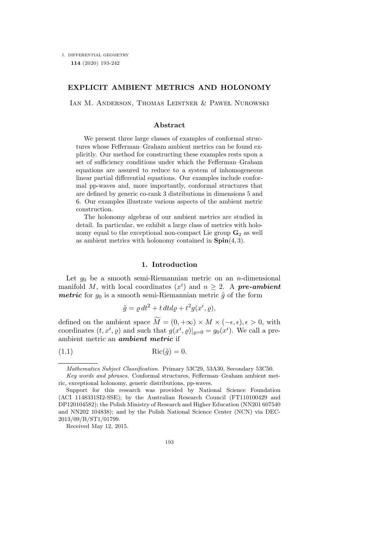### EXPLICIT AMBIENT METRICS AND HOLONOMY

IAN M. ANDERSON, THOMAS LEISTNER & PAWEŁ NUROWSKI

# Abstract

We present three large classes of examples of conformal structures whose Fefferman–Graham ambient metrics can be found explicitly. Our method for constructing these examples rests upon a set of sufficiency conditions under which the Fefferman–Graham equations are assured to reduce to a system of inhomogeneous linear partial differential equations. Our examples include conformal pp-waves and, more importantly, conformal structures that are defined by generic co-rank 3 distributions in dimensions 5 and 6. Our examples illustrate various aspects of the ambient metric construction.

The holonomy algebras of our ambient metrics are studied in detail. In particular, we exhibit a large class of metrics with holonomy equal to the exceptional non-compact Lie group  $G_2$  as well as ambient metrics with holonomy contained in  $\text{Spin}(4,3)$ .

### 1. Introduction

Let  $g_0$  be a smooth semi-Riemannian metric on an *n*-dimensional manifold M, with local coordinates  $(x<sup>i</sup>)$  and  $n \geq 2$ . A pre-ambient *metric* for  $g_0$  is a smooth semi-Riemannian metric  $\tilde{g}$  of the form

$$
\tilde{g} = \varrho dt^2 + t dt d\varrho + t^2 g(x^i, \varrho),
$$

defined on the ambient space  $M = (0, +\infty) \times M \times (-\epsilon, \epsilon), \epsilon > 0$ , with coordinates  $(t, x^i, \rho)$  and such that  $g(x^i, \rho)|_{\rho=0} = g_0(x^i)$ . We call a preambient metric an ambient metric if

(1.1)  $\operatorname{Ric}(\tilde{q}) = 0.$ 

Received May 12, 2015.

Mathematics Subject Classification. Primary 53C29, 53A30, Secondary 53C50.

Key words and phrases. Conformal structures, Fefferman–Graham ambient metric, exceptional holonomy, generic distributions, pp-waves.

Support for this research was provided by National Science Foundation (ACI 1148331SI2-SSE); by the Australian Research Council (FT110100429 and DP120104582); the Polish Ministry of Research and Higher Education (NN201 607540 and NN202 104838); and by the Polish National Science Center (NCN) via DEC-2013/09/B/ST1/01799.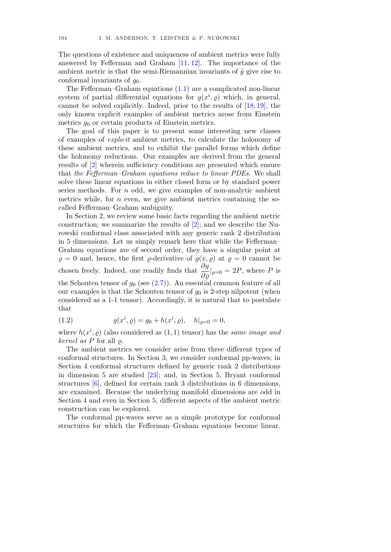The questions of existence and uniqueness of ambient metrics were fully answered by Fefferman and Graham [11, 12]. The importance of the ambient metric is that the semi-Riemannian invariants of  $\tilde{q}$  give rise to conformal invariants of  $g_0$ .

The Fefferman–Graham equations (1.1) are a complicated non-linear system of partial differential equations for  $g(x^i, \rho)$  which, in general, cannot be solved explicitly. Indeed, prior to the results of [18, 19], the only known explicit examples of ambient metrics arose from Einstein metrics  $q_0$  or certain products of Einstein metrics.

The goal of this paper is to present some interesting new classes of examples of explicit ambient metrics, to calculate the holonomy of these ambient metrics, and to exhibit the parallel forms which define the holonomy reductions. Our examples are derived from the general results of [2] wherein sufficiency conditions are presented which ensure that the Fefferman–Graham equations reduce to linear PDEs. We shall solve these linear equations in either closed form or by standard power series methods. For  $n$  odd, we give examples of non-analytic ambient metrics while, for  $n$  even, we give ambient metrics containing the socalled Fefferman–Graham ambiguity.

In Section 2, we review some basic facts regarding the ambient metric construction; we summarize the results of [2]; and we describe the Nurowski conformal class associated with any generic rank 2 distribution in 5 dimensions. Let us simply remark here that while the Fefferman– Graham equations are of second order, they have a singular point at  $\rho = 0$  and, hence, the first  $\rho$ -derivative of  $g(x, \rho)$  at  $\rho = 0$  cannot be chosen freely. Indeed, one readily finds that  $\frac{\partial g}{\partial \varrho}|_{\varrho=0} = 2P$ , where P is the Schouten tensor of  $g_0$  (see (2.7)). An essential common feature of all our examples is that the Schouten tensor of  $g_0$  is 2-step nilpotent (when considered as a 1-1 tensor). Accordingly, it is natural that to postulate that

(1.2) 
$$
g(x^i, \varrho) = g_0 + h(x^i, \varrho), \quad h|_{\varrho=0} = 0,
$$

where  $h(x^i, \varrho)$  (also considered as  $(1, 1)$  tensor) has the same image and kernel as P for all  $\rho$ .

The ambient metrics we consider arise from three different types of conformal structures. In Section 3, we consider conformal pp-waves; in Section 4 conformal structures defined by generic rank 2 distributions in dimension 5 are studied [23]; and, in Section 5, Bryant conformal structures [6], defined for certain rank 3 distributions in 6 dimensions, are examined. Because the underlying manifold dimensions are odd in Section 4 and even in Section 5, different aspects of the ambient metric construction can be explored.

The conformal pp-waves serve as a simple prototype for conformal structures for which the Fefferman–Graham equations become linear.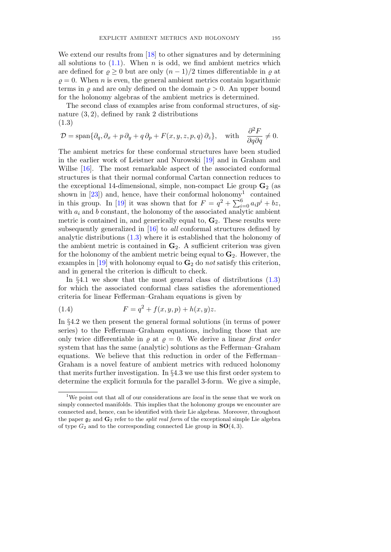We extend our results from [18] to other signatures and by determining all solutions to  $(1.1)$ . When *n* is odd, we find ambient metrics which are defined for  $\rho > 0$  but are only  $(n-1)/2$  times differentiable in  $\rho$  at  $\rho = 0$ . When *n* is even, the general ambient metrics contain logarithmic terms in  $\rho$  and are only defined on the domain  $\rho > 0$ . An upper bound for the holonomy algebras of the ambient metrics is determined.

The second class of examples arise from conformal structures, of signature (3, 2), defined by rank 2 distributions (1.3)

$$
\mathcal{D} = \text{span}\{\partial_q, \partial_x + p\,\partial_y + q\,\partial_p + F(x, y, z, p, q)\,\partial_z\}, \quad \text{with} \quad \frac{\partial^2 F}{\partial q \partial q} \neq 0.
$$

The ambient metrics for these conformal structures have been studied in the earlier work of Leistner and Nurowski [19] and in Graham and Willse [16]. The most remarkable aspect of the associated conformal structures is that their normal conformal Cartan connection reduces to the exceptional 14-dimensional, simple, non-compact Lie group  $\mathbf{G}_2$  (as shown in  $[23]$  and, hence, have their conformal holonomy<sup>1</sup> contained in this group. In [19] it was shown that for  $F = q^2 + \sum_{i=0}^{6} a_i p^i + bz$ , with  $a_i$  and b constant, the holonomy of the associated analytic ambient metric is contained in, and generically equal to,  $\mathbf{G}_2$ . These results were subsequently generalized in [16] to all conformal structures defined by analytic distributions  $(1.3)$  where it is established that the holonomy of the ambient metric is contained in  $\mathbf{G}_2$ . A sufficient criterion was given for the holonomy of the ambient metric being equal to  $\mathbf{G}_2$ . However, the examples in [19] with holonomy equal to  $\mathbf{G}_2$  do not satisfy this criterion, and in general the criterion is difficult to check.

In  $\S 4.1$  we show that the most general class of distributions  $(1.3)$ for which the associated conformal class satisfies the aforementioned criteria for linear Fefferman–Graham equations is given by

(1.4) 
$$
F = q^2 + f(x, y, p) + h(x, y)z.
$$

In §4.2 we then present the general formal solutions (in terms of power series) to the Fefferman–Graham equations, including those that are only twice differentiable in  $\rho$  at  $\rho = 0$ . We derive a linear first order system that has the same (analytic) solutions as the Fefferman–Graham equations. We believe that this reduction in order of the Fefferman– Graham is a novel feature of ambient metrics with reduced holonomy that merits further investigation. In §4.3 we use this first order system to determine the explicit formula for the parallel 3-form. We give a simple,

<sup>&</sup>lt;sup>1</sup>We point out that all of our considerations are *local* in the sense that we work on simply connected manifolds. This implies that the holonomy groups we encounter are connected and, hence, can be identified with their Lie algebras. Moreover, throughout the paper  $g_2$  and  $G_2$  refer to the *split real form* of the exceptional simple Lie algebra of type  $G_2$  and to the corresponding connected Lie group in  $SO(4,3)$ .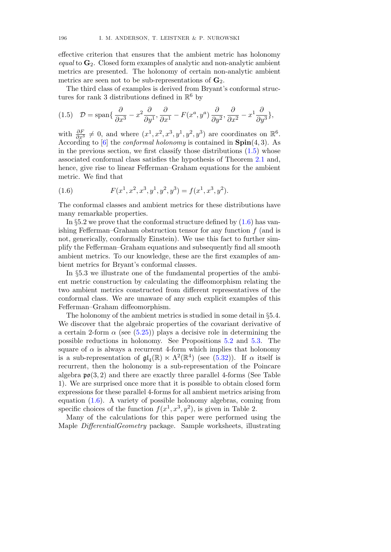effective criterion that ensures that the ambient metric has holonomy equal to  $\mathbf{G}_2$ . Closed form examples of analytic and non-analytic ambient metrics are presented. The holonomy of certain non-analytic ambient metrics are seen not to be sub-representations of  $\mathbf{G}_2$ .

The third class of examples is derived from Bryant's conformal structures for rank 3 distributions defined in  $\mathbb{R}^6$  by

(1.5) 
$$
\mathcal{D} = \text{span}\{\frac{\partial}{\partial x^3} - x^2 \frac{\partial}{\partial y^1}, \frac{\partial}{\partial x^1} - F(x^a, y^a) \frac{\partial}{\partial y^2}, \frac{\partial}{\partial x^2} - x^1 \frac{\partial}{\partial y^3}\},\
$$

with  $\frac{\partial F}{\partial x^3} \neq 0$ , and where  $(x^1, x^2, x^3, y^1, y^2, y^3)$  are coordinates on  $\mathbb{R}^6$ . According to [6] the *conformal holonomy* is contained in  $\text{Spin}(4,3)$ . As in the previous section, we first classify those distributions  $(1.5)$  whose associated conformal class satisfies the hypothesis of Theorem 2.1 and, hence, give rise to linear Fefferman–Graham equations for the ambient metric. We find that

(1.6) 
$$
F(x^1, x^2, x^3, y^1, y^2, y^3) = f(x^1, x^3, y^2).
$$

The conformal classes and ambient metrics for these distributions have many remarkable properties.

In  $\S5.2$  we prove that the conformal structure defined by  $(1.6)$  has vanishing Fefferman–Graham obstruction tensor for any function  $f$  (and is not, generically, conformally Einstein). We use this fact to further simplify the Fefferman–Graham equations and subsequently find all smooth ambient metrics. To our knowledge, these are the first examples of ambient metrics for Bryant's conformal classes.

In §5.3 we illustrate one of the fundamental properties of the ambient metric construction by calculating the diffeomorphism relating the two ambient metrics constructed from different representatives of the conformal class. We are unaware of any such explicit examples of this Fefferman–Graham diffeomorphism.

The holonomy of the ambient metrics is studied in some detail in §5.4. We discover that the algebraic properties of the covariant derivative of a certain 2-form  $\alpha$  (see (5.25)) plays a decisive role in determining the possible reductions in holonomy. See Propositions 5.2 and 5.3. The square of  $\alpha$  is always a recurrent 4-form which implies that holonomy is a sub-representation of  $\mathfrak{gl}_4(\mathbb{R}) \ltimes \Lambda^2(\mathbb{R}^4)$  (see (5.32)). If  $\alpha$  itself is recurrent, then the holonomy is a sub-representation of the Poincare algebra  $\mathfrak{po}(3,2)$  and there are exactly three parallel 4-forms (See Table 1). We are surprised once more that it is possible to obtain closed form expressions for these parallel 4-forms for all ambient metrics arising from equation (1.6). A variety of possible holonomy algebras, coming from specific choices of the function  $f(x^1, x^3, y^2)$ , is given in Table 2.

Many of the calculations for this paper were performed using the Maple DifferentialGeometry package. Sample worksheets, illustrating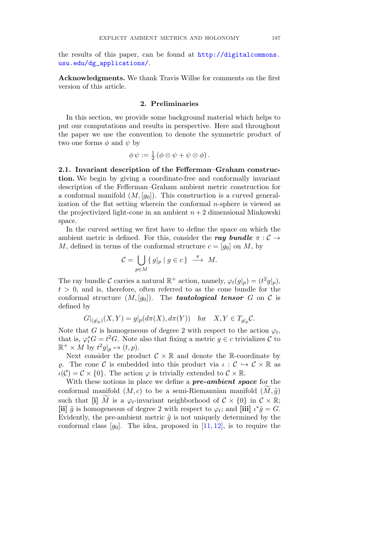the results of this paper, can be found at http://digitalcommons. usu.edu/dg\_applications/.

Acknowledgments. We thank Travis Willse for comments on the first version of this article.

# 2. Preliminaries

In this section, we provide some background material which helps to put our computations and results in perspective. Here and throughout the paper we use the convention to denote the symmetric product of two one forms  $\phi$  and  $\psi$  by

$$
\phi \psi := \frac{1}{2} \left( \phi \otimes \psi + \psi \otimes \phi \right).
$$

2.1. Invariant description of the Fefferman–Graham construction. We begin by giving a coordinate-free and conformally invariant description of the Fefferman–Graham ambient metric construction for a conformal manifold  $(M, [g_0])$ . This construction is a curved generalization of the flat setting wherein the conformal n-sphere is viewed as the projectivized light-cone in an ambient  $n+2$  dimensional Minkowski space.

In the curved setting we first have to define the space on which the ambient metric is defined. For this, consider the ray bundle  $\pi : \mathcal{C} \rightarrow$ M, defined in terms of the conformal structure  $c = [g_0]$  on M, by

$$
\mathcal{C} = \bigcup_{p \in M} \{ g|_p \mid g \in c \} \stackrel{\pi}{\longrightarrow} M.
$$

The ray bundle C carries a natural  $\mathbb{R}^+$  action, namely,  $\varphi_t(g|_p) = (t^2 g|_p)$ ,  $t > 0$ , and is, therefore, often referred to as the cone bundle for the conformal structure  $(M, [g_0])$ . The **tautological tensor** G on C is defined by

$$
G|_{(g|_p)}(X,Y) = g|_p(d\pi(X), d\pi(Y)) \quad \text{for} \quad X, Y \in T_{g|_p}C.
$$

Note that G is homogeneous of degree 2 with respect to the action  $\varphi_t$ , that is,  $\varphi_t^* G = t^2 G$ . Note also that fixing a metric  $g \in c$  trivializes C to  $\mathbb{R}^+ \times M$  by  $t^2g|_p \mapsto (t, p).$ 

Next consider the product  $\mathcal{C} \times \mathbb{R}$  and denote the R-coordinate by  $ρ$ . The cone C is embedded into this product via  $ι : C \hookrightarrow C \times \mathbb{R}$  as  $\iota(\mathcal{C}) = \mathcal{C} \times \{0\}.$  The action  $\varphi$  is trivially extended to  $\mathcal{C} \times \mathbb{R}.$ 

With these notions in place we define a **pre-ambient space** for the conformal manifold  $(M, c)$  to be a semi-Riemannian manifold  $(M, \tilde{g})$ such that [i] M is a  $\varphi_t$ -invariant neighborhood of  $\mathcal{C} \times \{0\}$  in  $\mathcal{C} \times \mathbb{R}$ ; [ii]  $\tilde{g}$  is homogeneous of degree 2 with respect to  $\varphi_t$ ; and [iii]  $\iota^* \tilde{g} = G$ . Evidently, the pre-ambient metric  $\tilde{g}$  is not uniquely determined by the conformal class  $[g_0]$ . The idea, proposed in  $[11, 12]$ , is to require the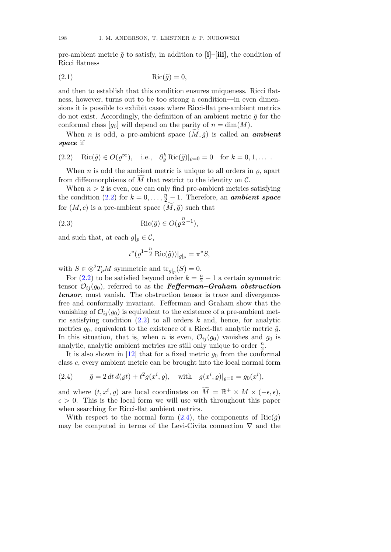pre-ambient metric  $\tilde{q}$  to satisfy, in addition to [i]–[iii], the condition of Ricci flatness

$$
Ric(\tilde{g}) = 0,
$$

and then to establish that this condition ensures uniqueness. Ricci flatness, however, turns out to be too strong a condition—in even dimensions it is possible to exhibit cases where Ricci-flat pre-ambient metrics do not exist. Accordingly, the definition of an ambient metric  $\tilde{g}$  for the conformal class  $[g_0]$  will depend on the parity of  $n = \dim(M)$ .

When *n* is odd, a pre-ambient space  $(M, \tilde{a})$  is called an **ambient** space if

(2.2) Ric(
$$
\tilde{g}
$$
)  $\in O(\varrho^{\infty})$ , i.e.,  $\partial_{\varrho}^{k} \text{Ric}(\tilde{g})|_{\varrho=0} = 0$  for  $k = 0, 1, ...$ .

When *n* is odd the ambient metric is unique to all orders in  $\rho$ , apart from diffeomorphisms of  $M$  that restrict to the identity on  $\mathcal{C}$ .

When  $n > 2$  is even, one can only find pre-ambient metrics satisfying the condition (2.2) for  $k = 0, \ldots, \frac{n}{2} - 1$ . Therefore, an **ambient space** for  $(M, c)$  is a pre-ambient space  $(M, \tilde{g})$  such that

(2.3) 
$$
Ric(\tilde{g}) \in O(\varrho^{\frac{n}{2}-1}),
$$

and such that, at each  $g|_p \in \mathcal{C}$ ,

$$
\iota^*(\varrho^{1-\tfrac{n}{2}}\operatorname{Ric}(\tilde{g}))|_{g|_p} = \pi^*S,
$$

with  $S \in \otimes^2 T_p M$  symmetric and  $\text{tr}_{q|p}(S) = 0$ .

For (2.2) to be satisfied beyond order  $k = \frac{n}{2} - 1$  a certain symmetric tensor  $\mathcal{O}_{ii}(g_0)$ , referred to as the **Fefferman–Graham obstruction** tensor, must vanish. The obstruction tensor is trace and divergencefree and conformally invariant. Fefferman and Graham show that the vanishing of  $\mathcal{O}_{ii}(g_0)$  is equivalent to the existence of a pre-ambient metric satisfying condition  $(2.2)$  to all orders k and, hence, for analytic metrics  $g_0$ , equivalent to the existence of a Ricci-flat analytic metric  $\tilde{g}$ . In this situation, that is, when *n* is even,  $\mathcal{O}_{ij}(g_0)$  vanishes and  $g_0$  is analytic, analytic ambient metrics are still only unique to order  $\frac{n}{2}$ .

It is also shown in  $[12]$  that for a fixed metric  $g_0$  from the conformal class c, every ambient metric can be brought into the local normal form

(2.4) 
$$
\tilde{g} = 2 dt d(\varrho t) + t^2 g(x^i, \varrho)
$$
, with  $g(x^i, \varrho)|_{\varrho=0} = g_0(x^i)$ ,

and where  $(t, x^i, \rho)$  are local coordinates on  $\widetilde{M} = \mathbb{R}^+ \times M \times (-\epsilon, \epsilon)$ ,  $\epsilon > 0$ . This is the local form we will use with throughout this paper when searching for Ricci-flat ambient metrics.

With respect to the normal form  $(2.4)$ , the components of Ric $(\tilde{q})$ may be computed in terms of the Levi-Civita connection  $\nabla$  and the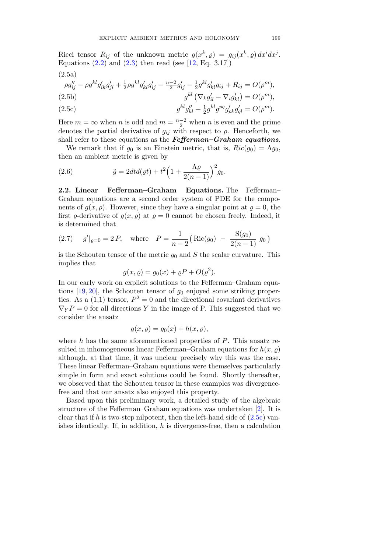Ricci tensor  $R_{ij}$  of the unknown metric  $g(x^k, \rho) = g_{ij}(x^k, \rho) dx^i dx^j$ . Equations  $(2.2)$  and  $(2.3)$  then read (see [12, Eq. 3.17])

$$
(2.5a)
$$

$$
\rho g_{ij}'' - \rho g^{kl} g_{ik}' g_{jl}' + \frac{1}{2} \rho g^{kl} g_{kl}' g_{ij}' - \frac{n-2}{2} g_{ij}' - \frac{1}{2} g^{kl} g_{kl}' g_{ij} + R_{ij} = O(\rho^m),
$$
  
(2.5b)  

$$
g^{kl} \left( \nabla_k g_{il}' - \nabla_i g_{kl}' \right) = O(\rho^m),
$$

(2.5c) 
$$
g^{kl}g_{kl}'' + \frac{1}{2}g^{kl}g^{pq}g_{pk}'g_{ql}' = O(\rho^m).
$$

Here  $m = \infty$  when n is odd and  $m = \frac{n-2}{2}$  when n is even and the prime denotes the partial derivative of  $g_{ij}$  with respect to  $\rho$ . Henceforth, we shall refer to these equations as the  $Fefferman–Graham\ equations$ .

We remark that if  $g_0$  is an Einstein metric, that is,  $Ric(g_0) = \Lambda g_0$ , then an ambient metric is given by

(2.6) 
$$
\tilde{g} = 2dt d(\varrho t) + t^2 \left(1 + \frac{\Lambda \varrho}{2(n-1)}\right)^2 g_0.
$$

2.2. Linear Fefferman–Graham Equations. The Fefferman– Graham equations are a second order system of PDE for the components of  $q(x, \rho)$ . However, since they have a singular point at  $\rho = 0$ , the first  $\varrho$ -derivative of  $g(x, \varrho)$  at  $\varrho = 0$  cannot be chosen freely. Indeed, it is determined that

(2.7) 
$$
g'|_{\rho=0} = 2P
$$
, where  $P = \frac{1}{n-2} (\text{Ric}(g_0) - \frac{\text{S}(g_0)}{2(n-1)} g_0)$ 

is the Schouten tensor of the metric  $g_0$  and S the scalar curvature. This implies that

$$
g(x, \varrho) = g_0(x) + \varrho P + O(\varrho^2).
$$

In our early work on explicit solutions to the Fefferman–Graham equations  $[19, 20]$ , the Schouten tensor of  $g_0$  enjoyed some striking properties. As a  $(1,1)$  tensor,  $P^2 = 0$  and the directional covariant derivatives  $\nabla_{Y}P = 0$  for all directions Y in the image of P. This suggested that we consider the ansatz

$$
g(x, \varrho) = g_0(x) + h(x, \varrho),
$$

where  $h$  has the same aforementioned properties of  $P$ . This ansatz resulted in inhomogeneous linear Fefferman–Graham equations for  $h(x, \rho)$ although, at that time, it was unclear precisely why this was the case. These linear Fefferman–Graham equations were themselves particularly simple in form and exact solutions could be found. Shortly thereafter, we observed that the Schouten tensor in these examples was divergencefree and that our ansatz also enjoyed this property.

Based upon this preliminary work, a detailed study of the algebraic structure of the Fefferman–Graham equations was undertaken [2]. It is clear that if h is two-step nilpotent, then the left-hand side of  $(2.5c)$  vanishes identically. If, in addition,  $h$  is divergence-free, then a calculation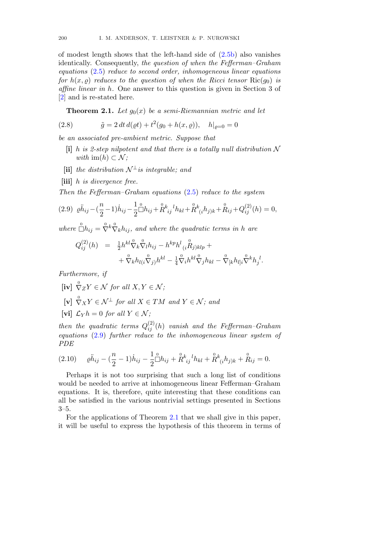of modest length shows that the left-hand side of (2.5b) also vanishes identically. Consequently, the question of when the Fefferman–Graham equations (2.5) reduce to second order, inhomogeneous linear equations for  $h(x, \rho)$  reduces to the question of when the Ricci tensor  $\text{Ric}(g_0)$  is affine linear in h. One answer to this question is given in Section 3 of [2] and is re-stated here.

**Theorem 2.1.** Let  $g_0(x)$  be a semi-Riemannian metric and let

(2.8) 
$$
\tilde{g} = 2 dt d(\varrho t) + t^2 (g_0 + h(x, \varrho)), \quad h|_{\varrho = 0} = 0
$$

be an associated pre-ambient metric. Suppose that

- $[i]$  h is 2-step nilpotent and that there is a totally null distribution N with  $\text{im}(h) \subset \mathcal{N}$ :
- [ii] the distribution  $\mathcal{N}^{\perp}$  is integrable; and
- [iii] h is divergence free.

Then the Fefferman–Graham equations (2.5) reduce to the system

$$
(2.9) \ \ \rho \ddot{h}_{ij} - \left(\frac{n}{2} - 1\right) \dot{h}_{ij} - \frac{1}{2} \mathring{\Box} h_{ij} + \mathring{R}_{ij}^k{}^l h_{kl} + \mathring{R}_{(i}^k h_{j)k} + \mathring{R}_{ij} + Q_{ij}^{(2)}(h) = 0,
$$

where  $\bigcirc^0 h_{ij} = \bigcirc^0 k \bigcirc^0 k h_{ij}$ , and where the quadratic terms in h are

$$
Q_{ij}^{(2)}(h) = \frac{1}{2} h^{kl} \hat{\nabla}_k \hat{\nabla}_l h_{ij} - h^{kp} h^l{}_{(i} \stackrel{0}{R}_{j)klp} + + \hat{\nabla}_k h_{l(i} \stackrel{0}{\nabla}_j) h^{kl} - \frac{1}{4} \hat{\nabla}_i h^{kl} \stackrel{0}{\nabla}_j h_{kl} - \hat{\nabla}_{[k} h_{l]i} \stackrel{0}{\nabla}^k h_{j}{}^l.
$$

Furthermore, if

- $[\mathbf{iv}] \overset{0}{\nabla} ZY \in \mathcal{N}$  for all  $X, Y \in \mathcal{N}$ ;
- $[\mathbf{v}] \overset{0}{\nabla} _{X} Y \in \mathcal{N}^{\perp}$  for all  $X \in TM$  and  $Y \in \mathcal{N}$ ; and
- [vi]  $\mathcal{L}_Y h = 0$  for all  $Y \in \mathcal{N}$ ;

then the quadratic terms  $Q_{ij}^{(2)}(h)$  vanish and the Fefferman–Graham equations (2.9) further reduce to the inhomogeneous linear system of PDE

$$
(2.10) \qquad \rho \ddot{h}_{ij} - \left(\frac{n}{2} - 1\right) \dot{h}_{ij} - \frac{1}{2} \overset{\circ}{\Box} h_{ij} + \overset{\circ}{R}^k{}_{ij}{}^l h_{kl} + \overset{\circ}{R}^k{}_{(i} h_{j)k} + \overset{\circ}{R}_{ij} = 0.
$$

Perhaps it is not too surprising that such a long list of conditions would be needed to arrive at inhomogeneous linear Fefferman–Graham equations. It is, therefore, quite interesting that these conditions can all be satisfied in the various nontrivial settings presented in Sections 3–5.

For the applications of Theorem 2.1 that we shall give in this paper, it will be useful to express the hypothesis of this theorem in terms of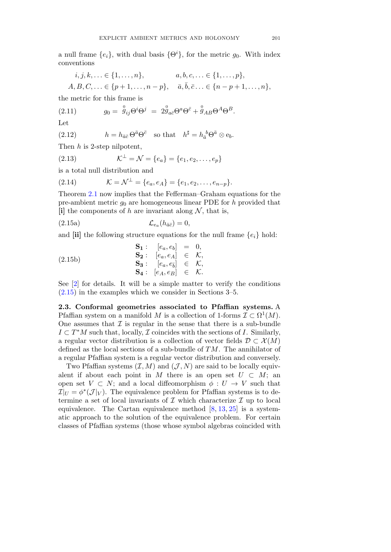a null frame  $\{e_i\}$ , with dual basis  $\{\Theta^i\}$ , for the metric  $g_0$ . With index conventions

$$
i, j, k, \ldots \in \{1, \ldots, n\}, \qquad a, b, c, \ldots \in \{1, \ldots, p\},
$$
  

$$
A, B, C, \ldots \in \{p+1, \ldots, n-p\}, \quad \bar{a}, \bar{b}, \bar{c} \ldots \in \{n-p+1, \ldots, n\},
$$

the metric for this frame is

(2.11) 
$$
g_0 = \stackrel{0}{g}_{ij} \Theta^i \Theta^j = 2 \stackrel{0}{g}_{a\bar{c}} \Theta^a \Theta^{\bar{c}} + \stackrel{0}{g}_{AB} \Theta^A \Theta^B.
$$

Let

(2.12) 
$$
h = h_{\bar{a}\bar{c}} \Theta^{\bar{a}} \Theta^{\bar{c}} \text{ so that } h^{\sharp} = h_{\bar{a}}{}^{b} \Theta^{\bar{a}} \otimes e_{b}.
$$

Then h is 2-step nilpotent,

(2.13) 
$$
\mathcal{K}^{\perp} = \mathcal{N} = \{e_a\} = \{e_1, e_2, \dots, e_p\}
$$

is a total null distribution and

(2.14) 
$$
\mathcal{K} = \mathcal{N}^{\perp} = \{e_a, e_A\} = \{e_1, e_2, \dots, e_{n-p}\}.
$$

Theorem 2.1 now implies that the Fefferman–Graham equations for the pre-ambient metric  $g_0$  are homogeneous linear PDE for h provided that [i] the components of h are invariant along  $N$ , that is,

(2.15a)  $\mathcal{L}_{e_a}(h_{\bar{a}\bar{c}})=0,$ 

and [ii] the following structure equations for the null frame  ${e_i}$  hold:

$$
\begin{array}{rcl}\n\mathbf{S_1}: & [e_a, e_b] & = & 0, \\
\mathbf{S_2}: & [e_a, e_A] & \in & \mathcal{K}, \\
\mathbf{S_3}: & [e_a, e_{\overline{b}}] & \in & \mathcal{K}, \\
\mathbf{S_4}: & [e_A, e_B] & \in & \mathcal{K}.\n\end{array}
$$

See [2] for details. It will be a simple matter to verify the conditions (2.15) in the examples which we consider in Sections 3–5.

2.3. Conformal geometries associated to Pfaffian systems. A Pfaffian system on a manifold M is a collection of 1-forms  $\mathcal{I} \subset \Omega^1(M)$ . One assumes that  $\mathcal I$  is regular in the sense that there is a sub-bundle  $I \subset T^*M$  such that, locally,  $\mathcal I$  coincides with the sections of I. Similarly, a regular vector distribution is a collection of vector fields  $\mathcal{D} \subset \mathcal{X}(M)$ defined as the local sections of a sub-bundle of  $TM$ . The annihilator of a regular Pfaffian system is a regular vector distribution and conversely.

Two Pfaffian systems  $(\mathcal{I}, M)$  and  $(\mathcal{J}, N)$  are said to be locally equivalent if about each point in M there is an open set  $U \subset M$ ; an open set  $V \subset N$ ; and a local diffeomorphism  $\phi: U \to V$  such that  $\mathcal{I}|_{U} = \phi^*(\mathcal{J}|_{V})$ . The equivalence problem for Pfaffian systems is to determine a set of local invariants of  $\mathcal I$  which characterize  $\mathcal I$  up to local equivalence. The Cartan equivalence method  $[8, 13, 25]$  is a systematic approach to the solution of the equivalence problem. For certain classes of Pfaffian systems (those whose symbol algebras coincided with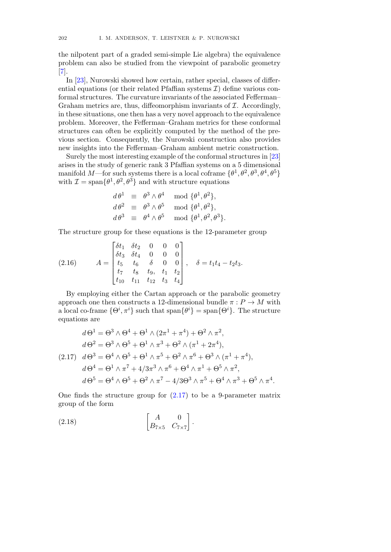the nilpotent part of a graded semi-simple Lie algebra) the equivalence problem can also be studied from the viewpoint of parabolic geometry [7].

In [23], Nurowski showed how certain, rather special, classes of differential equations (or their related Pfaffian systems  $\mathcal{I}$ ) define various conformal structures. The curvature invariants of the associated Fefferman– Graham metrics are, thus, diffeomorphism invariants of  $I$ . Accordingly, in these situations, one then has a very novel approach to the equivalence problem. Moreover, the Fefferman–Graham metrics for these conformal structures can often be explicitly computed by the method of the previous section. Consequently, the Nurowski construction also provides new insights into the Fefferman–Graham ambient metric construction.

Surely the most interesting example of the conformal structures in [23] arises in the study of generic rank 3 Pfaffian systems on a 5 dimensional manifold M—for such systems there is a local coframe  $\{\theta^1, \theta^2, \theta^3, \theta^4, \theta^5\}$ with  $\mathcal{I} = \text{span}\{\theta^1, \theta^2, \theta^3\}$  and with structure equations

$$
d\theta^1 \equiv \theta^3 \wedge \theta^4 \mod{\{\theta^1, \theta^2\}},
$$
  
\n
$$
d\theta^2 \equiv \theta^3 \wedge \theta^5 \mod{\{\theta^1, \theta^2\}},
$$
  
\n
$$
d\theta^3 \equiv \theta^4 \wedge \theta^5 \mod{\{\theta^1, \theta^2, \theta^3\}}.
$$

The structure group for these equations is the 12-parameter group

(2.16) 
$$
A = \begin{bmatrix} \delta t_1 & \delta t_2 & 0 & 0 & 0 \\ \delta t_3 & \delta t_4 & 0 & 0 & 0 \\ t_5 & t_6 & \delta & 0 & 0 \\ t_7 & t_8 & t_9 & t_1 & t_2 \\ t_{10} & t_{11} & t_{12} & t_3 & t_4 \end{bmatrix}, \quad \delta = t_1 t_4 - t_2 t_3.
$$

By employing either the Cartan approach or the parabolic geometry approach one then constructs a 12-dimensional bundle  $\pi: P \to M$  with a local co-frame  $\{\Theta^i, \pi^i\}$  such that  $\text{span}\{\Theta^i\} = \text{span}\{\Theta^i\}$ . The structure equations are

$$
d\Theta^1 = \Theta^3 \wedge \Theta^4 + \Theta^1 \wedge (2\pi^1 + \pi^4) + \Theta^2 \wedge \pi^2,
$$
  
\n
$$
d\Theta^2 = \Theta^3 \wedge \Theta^5 + \Theta^1 \wedge \pi^3 + \Theta^2 \wedge (\pi^1 + 2\pi^4),
$$
  
\n(2.17) 
$$
d\Theta^3 = \Theta^4 \wedge \Theta^5 + \Theta^1 \wedge \pi^5 + \Theta^2 \wedge \pi^6 + \Theta^3 \wedge (\pi^1 + \pi^4),
$$
  
\n
$$
d\Theta^4 = \Theta^1 \wedge \pi^7 + 4/3\pi^3 \wedge \pi^6 + \Theta^4 \wedge \pi^1 + \Theta^5 \wedge \pi^2,
$$
  
\n
$$
d\Theta^5 = \Theta^4 \wedge \Theta^5 + \Theta^2 \wedge \pi^7 - 4/3\Theta^3 \wedge \pi^5 + \Theta^4 \wedge \pi^3 + \Theta^5 \wedge \pi^4.
$$

One finds the structure group for  $(2.17)$  to be a 9-parameter matrix group of the form

$$
\begin{bmatrix} A & 0 \ B_{7\times 5} & C_{7\times 7} \end{bmatrix}.
$$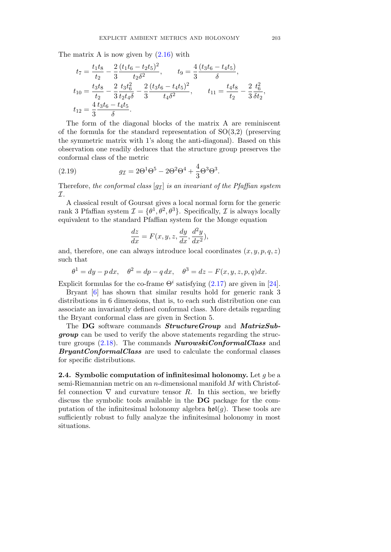The matrix A is now given by  $(2.16)$  with

$$
t_7 = \frac{t_1 t_8}{t_2} - \frac{2}{3} \frac{(t_1 t_6 - t_2 t_5)^2}{t_2 \delta^2}, \qquad t_9 = \frac{4}{3} \frac{(t_3 t_6 - t_4 t_5)}{\delta},
$$
  
\n
$$
t_{10} = \frac{t_3 t_8}{t_2} - \frac{2}{3} \frac{t_3 t_6^2}{t_2 t_4 \delta} - \frac{2}{3} \frac{(t_3 t_6 - t_4 t_5)^2}{t_4 \delta^2}, \qquad t_{11} = \frac{t_4 t_8}{t_2} - \frac{2}{3} \frac{t_6^2}{\delta t_2},
$$
  
\n
$$
t_{12} = \frac{4}{3} \frac{t_3 t_6 - t_4 t_5}{\delta}.
$$

The form of the diagonal blocks of the matrix A are reminiscent of the formula for the standard representation of  $SO(3,2)$  (preserving the symmetric matrix with 1's along the anti-diagonal). Based on this observation one readily deduces that the structure group preserves the conformal class of the metric

(2.19) 
$$
g_{\mathcal{I}} = 2\Theta^1 \Theta^5 - 2\Theta^2 \Theta^4 + \frac{4}{3}\Theta^3 \Theta^3.
$$

Therefore, the conformal class  $[g_I]$  is an invariant of the Pfaffian system  $\mathcal{I}.$ 

A classical result of Goursat gives a local normal form for the generic rank 3 Pfaffian system  $\mathcal{I} = {\theta^1, \theta^2, \theta^3}$ . Specifically,  $\mathcal I$  is always locally equivalent to the standard Pfaffian system for the Monge equation

$$
\frac{dz}{dx} = F(x, y, z, \frac{dy}{dx}, \frac{d^2y}{dx^2}),
$$

and, therefore, one can always introduce local coordinates  $(x, y, p, q, z)$ such that

 $\theta^1 = dy - p dx$ ,  $\theta^2 = dp - q dx$ ,  $\theta^3 = dz - F(x, y, z, p, q) dx$ .

Explicit formulas for the co-frame  $\Theta^i$  satisfying (2.17) are given in [24].

Bryant [6] has shown that similar results hold for generic rank 3 distributions in 6 dimensions, that is, to each such distribution one can associate an invariantly defined conformal class. More details regarding the Bryant conformal class are given in Section 5.

The DG software commands StructureGroup and MatrixSubgroup can be used to verify the above statements regarding the structure groups  $(2.18)$ . The commands **NurowskiConformalClass** and **BryantConformalClass** are used to calculate the conformal classes for specific distributions.

**2.4.** Symbolic computation of infinitesimal holonomy. Let q be a semi-Riemannian metric on an n-dimensional manifold M with Christoffel connection  $\nabla$  and curvature tensor R. In this section, we briefly discuss the symbolic tools available in the DG package for the computation of the infinitesimal holonomy algebra  $\mathfrak{hol}(g)$ . These tools are sufficiently robust to fully analyze the infinitesimal holonomy in most situations.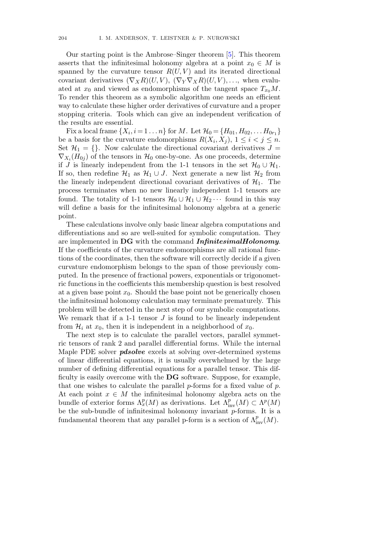Our starting point is the Ambrose–Singer theorem [5]. This theorem asserts that the infinitesimal holonomy algebra at a point  $x_0 \in M$  is spanned by the curvature tensor  $R(U, V)$  and its iterated directional covariant derivatives  $(\nabla_X R)(U, V)$ ,  $(\nabla_Y \nabla_X R)(U, V)$ ,..., when evaluated at  $x_0$  and viewed as endomorphisms of the tangent space  $T_{x_0}M$ . To render this theorem as a symbolic algorithm one needs an efficient way to calculate these higher order derivatives of curvature and a proper stopping criteria. Tools which can give an independent verification of the results are essential.

Fix a local frame  $\{X_i, i = 1 \dots n\}$  for M. Let  $\mathcal{H}_0 = \{H_{01}, H_{02}, \dots H_{0r_1}\}\$ be a basis for the curvature endomorphisms  $R(X_i, X_j), 1 \leq i < j \leq n$ . Set  $\mathcal{H}_1 = \{\}.$  Now calculate the directional covariant derivatives  $J =$  $\nabla_{X_i}(H_{0i})$  of the tensors in  $\mathcal{H}_0$  one-by-one. As one proceeds, determine if J is linearly independent from the 1-1 tensors in the set  $\mathcal{H}_0 \cup \mathcal{H}_1$ . If so, then redefine  $\mathcal{H}_1$  as  $\mathcal{H}_1 \cup J$ . Next generate a new list  $\mathcal{H}_2$  from the linearly independent directional covariant derivatives of  $\mathcal{H}_1$ . The process terminates when no new linearly independent 1-1 tensors are found. The totality of 1-1 tensors  $\mathcal{H}_0 \cup \mathcal{H}_1 \cup \mathcal{H}_2 \cdots$  found in this way will define a basis for the infinitesimal holonomy algebra at a generic point.

These calculations involve only basic linear algebra computations and differentiations and so are well-suited for symbolic computation. They are implemented in DG with the command *InfinitesimalHolonomy*. If the coefficients of the curvature endomorphisms are all rational functions of the coordinates, then the software will correctly decide if a given curvature endomorphism belongs to the span of those previously computed. In the presence of fractional powers, exponentials or trigonometric functions in the coefficients this membership question is best resolved at a given base point  $x_0$ . Should the base point not be generically chosen the infinitesimal holonomy calculation may terminate prematurely. This problem will be detected in the next step of our symbolic computations. We remark that if a 1-1 tensor  $J$  is found to be linearly independent from  $\mathcal{H}_i$  at  $x_0$ , then it is independent in a neighborhood of  $x_0$ .

The next step is to calculate the parallel vectors, parallel symmetric tensors of rank 2 and parallel differential forms. While the internal Maple PDE solver **pdsolve** excels at solving over-determined systems of linear differential equations, it is usually overwhelmed by the large number of defining differential equations for a parallel tensor. This difficulty is easily overcome with the DG software. Suppose, for example, that one wishes to calculate the parallel  $p$ -forms for a fixed value of  $p$ . At each point  $x \in M$  the infinitesimal holonomy algebra acts on the bundle of exterior forms  $\Lambda_x^p(M)$  as derivations. Let  $\Lambda_{\text{inv}}^p(M) \subset \Lambda^p(M)$ be the sub-bundle of infinitesimal holonomy invariant p-forms. It is a fundamental theorem that any parallel p-form is a section of  $\Lambda^p_{\text{inv}}(M)$ .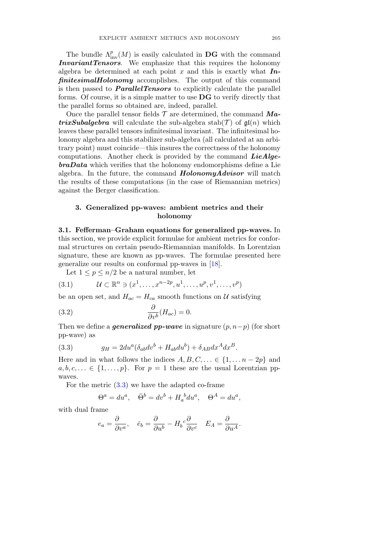The bundle  $\Lambda^p_{\text{inv}}(M)$  is easily calculated in **DG** with the command InvariantTensors. We emphasize that this requires the holonomy algebra be determined at each point x and this is exactly what  $\mathbf{In}$ finitesimalHolonomy accomplishes. The output of this command is then passed to **ParallelTensors** to explicitly calculate the parallel forms. Of course, it is a simple matter to use DG to verify directly that the parallel forms so obtained are, indeed, parallel.

Once the parallel tensor fields  $\mathcal T$  are determined, the command  $\boldsymbol{Ma}$ **trixSubalgebra** will calculate the sub-algebra stab $(\mathcal{T})$  of  $\mathfrak{gl}(n)$  which leaves these parallel tensors infinitesimal invariant. The infinitesimal holonomy algebra and this stabilizer sub-algebra (all calculated at an arbitrary point) must coincide—this insures the correctness of the holonomy computations. Another check is provided by the command  $LieAlge$  $braData$  which verifies that the holonomy endomorphisms define a Lie algebra. In the future, the command  $HolonomyAdvisor$  will match the results of these computations (in the case of Riemannian metrics) against the Berger classification.

## 3. Generalized pp-waves: ambient metrics and their holonomy

3.1. Fefferman–Graham equations for generalized pp-waves. In this section, we provide explicit formulae for ambient metrics for conformal structures on certain pseudo-Riemannian manifolds. In Lorentzian signature, these are known as pp-waves. The formulae presented here generalize our results on conformal pp-waves in [18].

Let  $1 \leq p \leq n/2$  be a natural number, let

$$
(3.1) \t\mathcal{U} \subset \mathbb{R}^n \ni (x^1, \dots, x^{n-2p}, u^1, \dots, u^p, v^1, \dots, v^p)
$$

be an open set, and  $H_{ac} = H_{ca}$  smooth functions on U satisfying

(3.2) 
$$
\frac{\partial}{\partial v^b}(H_{ac}) = 0.
$$

Then we define a *generalized pp-wave* in signature  $(p, n-p)$  (for short pp-wave) as

(3.3) 
$$
g_H = 2du^a(\delta_{ab}dv^b + H_{ab}du^b) + \delta_{AB}dx^A dx^B.
$$

Here and in what follows the indices  $A, B, C, \ldots \in \{1, \ldots n-2p\}$  and  $a, b, c, \ldots \in \{1, \ldots, p\}.$  For  $p = 1$  these are the usual Lorentzian ppwaves.

For the metric  $(3.3)$  we have the adapted co-frame

$$
\Theta^a = du^a, \quad \bar{\Theta}^b = dv^b + H_a^{\ b} du^a, \quad \Theta^A = du^a,
$$

with dual frame

$$
e_a = \frac{\partial}{\partial v^a}, \quad \bar{e}_b = \frac{\partial}{\partial u^b} - H_b{}^c \frac{\partial}{\partial v^c} \quad E_A = \frac{\partial}{\partial u^A}.
$$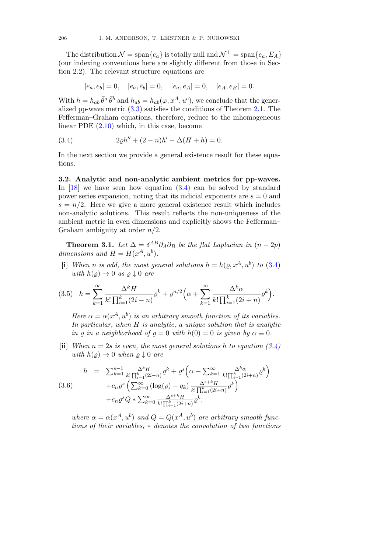The distribution  $\mathcal{N} = \text{span}\{e_a\}$  is totally null and  $\mathcal{N}^{\perp} = \text{span}\{e_a, E_A\}$ (our indexing conventions here are slightly different from those in Section 2.2). The relevant structure equations are

$$
[e_a, e_b] = 0
$$
,  $[e_a, \bar{e}_b] = 0$ ,  $[e_a, e_A] = 0$ ,  $[e_A, e_B] = 0$ .

With  $h = h_{ab} \bar{\theta}^a \bar{\theta}^b$  and  $h_{ab} = h_{ab}(\varphi, x^A, u^c)$ , we conclude that the generalized pp-wave metric  $(3.3)$  satisfies the conditions of Theorem 2.1. The Fefferman–Graham equations, therefore, reduce to the inhomogeneous linear PDE (2.10) which, in this case, become

(3.4) 
$$
2\varrho h'' + (2 - n)h' - \Delta(H + h) = 0.
$$

In the next section we provide a general existence result for these equations.

3.2. Analytic and non-analytic ambient metrics for pp-waves. In  $[18]$  we have seen how equation  $(3.4)$  can be solved by standard power series expansion, noting that its indicial exponents are  $s = 0$  and  $s = n/2$ . Here we give a more general existence result which includes non-analytic solutions. This result reflects the non-uniqueness of the ambient metric in even dimensions and explicitly shows the Fefferman– Graham ambiguity at order  $n/2$ .

**Theorem 3.1.** Let  $\Delta = \delta^{AB}\partial_A\partial_B$  be the flat Laplacian in  $(n-2p)$ dimensions and  $H = H(x^A, u^b)$ .

[i] When n is odd, the most general solutions  $h = h(\varrho, x^A, u^b)$  to (3.4) with  $h(\rho) \rightarrow 0$  as  $\rho \downarrow 0$  are

$$
(3.5) \quad h = \sum_{k=1}^{\infty} \frac{\Delta^k H}{k! \prod_{i=1}^k (2i-n)} \varrho^k + \varrho^{n/2} \Big( \alpha + \sum_{k=1}^{\infty} \frac{\Delta^k \alpha}{k! \prod_{i=1}^k (2i+n)} \varrho^k \Big).
$$

Here  $\alpha = \alpha(x^A, u^b)$  is an arbitrary smooth function of its variables. In particular, when  $H$  is analytic, a unique solution that is analytic in  $\rho$  in a neighborhood of  $\rho = 0$  with  $h(0) = 0$  is given by  $\alpha \equiv 0$ .

[ii] When  $n = 2s$  is even, the most general solutions h to equation (3.4) with  $h(\varrho) \to 0$  when  $\varrho \downarrow 0$  are

$$
h = \sum_{k=1}^{s-1} \frac{\Delta^k H}{k! \prod_{i=1}^k (2i-n)} \varrho^k + \varrho^s \left( \alpha + \sum_{k=1}^{\infty} \frac{\Delta^k \alpha}{k! \prod_{i=1}^k (2i+n)} \varrho^k \right)
$$
  
(3.6)  

$$
+ c_n \varrho^s \left( \sum_{k=0}^{\infty} (\log(\varrho) - q_k) \frac{\Delta^{s+k} H}{k! \prod_{i=1}^k (2i+n)} \varrho^k \right)
$$
  

$$
+ c_n \varrho^s Q * \sum_{k=0}^{\infty} \frac{\Delta^{s+k} H}{k! \prod_{i=1}^k (2i+n)} \varrho^k,
$$

where  $\alpha = \alpha(x^A, u^b)$  and  $Q = Q(x^A, u^b)$  are arbitrary smooth functions of their variables, ∗ denotes the convolution of two functions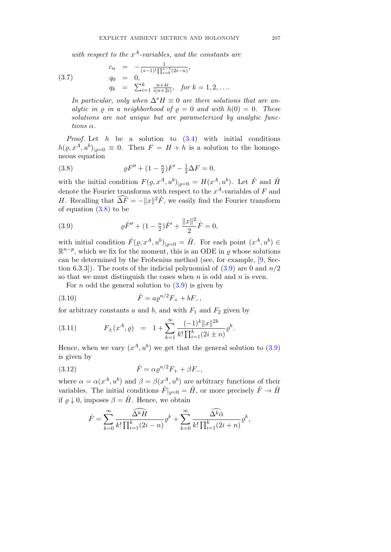with respect to the  $x^A$ -variables, and the constants are

$$
(3.7)
$$

 $c_n = -\frac{1}{(s-1)! \prod_{i=0}^{s-1} (2i-n)},$  $q_0 = 0,$  $q_k = \sum_{i=1}^k \frac{n+4i}{i(n+2i)}, \text{ for } k = 1, 2, \dots$ 

In particular, only when  $\Delta^s H \equiv 0$  are there solutions that are analytic in  $\rho$  in a neighborhood of  $\rho = 0$  and with  $h(0) = 0$ . These solutions are not unique but are parameterized by analytic functions α.

*Proof.* Let  $h$  be a solution to  $(3.4)$  with initial conditions  $h(\varrho, x^A, u^b)_{|\varrho=0} \equiv 0$ . Then  $F = H + h$  is a solution to the homogeneous equation

(3.8) 
$$
\rho F'' + (1 - \frac{n}{2})F' - \frac{1}{2}\Delta F = 0,
$$

with the initial condition  $F(\varrho, x^A, u^b)|_{\varrho=0} = H(x^A, u^b)$ . Let  $\hat{F}$  and  $\hat{H}$ denote the Fourier transforms with respect to the  $x^A$ -variables of F and H. Recalling that  $\widehat{\Delta F} = -||x||^2 \widehat{F}$ , we easily find the Fourier transform of equation  $(3.8)$  to be

(3.9) 
$$
\rho \hat{F}'' + (1 - \frac{n}{2}) \hat{F}' + \frac{\|x\|^2}{2} \hat{F} = 0,
$$

with initial condition  $\hat{F}(\varrho, x^A, u^b)|_{\varrho=0} = \hat{H}$ . For each point  $(x^A, u^b) \in$  $\mathbb{R}^{n-p}$ , which we fix for the moment, this is an ODE in  $\rho$  whose solutions can be determined by the Frobenius method (see, for example, [9, Section 6.3.3]). The roots of the indicial polynomial of  $(3.9)$  are 0 and  $n/2$ so that we must distinguish the cases when  $n$  is odd and  $n$  is even.

For *n* odd the general solution to  $(3.9)$  is given by

(3.10) 
$$
\hat{F} = a \varrho^{n/2} F_+ + b F_-,
$$

for arbitrary constants a and b, and with  $F_1$  and  $F_2$  given by

(3.11) 
$$
F_{\pm}(x^A, \varrho) = 1 + \sum_{k=1}^{\infty} \frac{(-1)^k ||x||^{2k}}{k! \prod_{i=1}^k (2i \pm n)} \varrho^k.
$$

Hence, when we vary  $(x^A, u^b)$  we get that the general solution to (3.9) is given by

(3.12) 
$$
\hat{F} = \alpha \varrho^{n/2} F_+ + \beta F_-,
$$

where  $\alpha = \alpha(x^A, u^b)$  and  $\beta = \beta(x^A, u^b)$  are arbitrary functions of their variables. The initial conditions  $\hat{F}|_{\rho=0} = \hat{H}$ , or more precisely  $\hat{F} \to \hat{H}$ if  $\rho \downarrow 0$ , imposes  $\beta = \hat{H}$ . Hence, we obtain

$$
\hat{F} = \sum_{k=0}^{\infty} \frac{\widehat{\Delta^k H}}{k! \prod_{i=1}^k (2i - n)} \varrho^k + \sum_{k=0}^{\infty} \frac{\widehat{\Delta^k \alpha}}{k! \prod_{i=1}^k (2i + n)} \varrho^k,
$$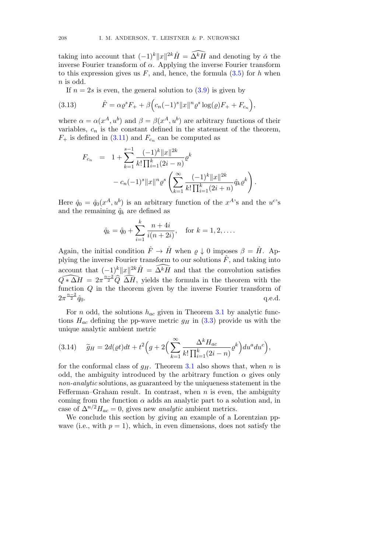taking into account that  $(-1)^k ||x||^{2k} \hat{H} = \tilde{\Delta}^k \overline{H}$  and denoting by  $\alpha$  the inverse Fourier transform of  $\alpha$ . Applying the inverse Fourier transform to this expression gives us  $F$ , and, hence, the formula  $(3.5)$  for h when  $n$  is odd.

If  $n = 2s$  is even, the general solution to  $(3.9)$  is given by

(3.13) 
$$
\hat{F} = \alpha \varrho^{s} F_{+} + \beta \Big( c_{n} (-1)^{s} \|x\|^{n} \varrho^{s} \log(\varrho) F_{+} + F_{c_{n}} \Big),
$$

where  $\alpha = \alpha(x^A, u^b)$  and  $\beta = \beta(x^A, u^b)$  are arbitrary functions of their variables,  $c_n$  is the constant defined in the statement of the theorem,  $F_+$  is defined in (3.11) and  $F_{c_n}$  can be computed as

$$
F_{c_n} = 1 + \sum_{k=1}^{s-1} \frac{(-1)^k ||x||^{2k}}{k! \prod_{i=1}^k (2i - n)} \varrho^k
$$
  
-  $c_n (-1)^s ||x||^n \varrho^s \left( \sum_{k=1}^{\infty} \frac{(-1)^k ||x||^{2k}}{k! \prod_{i=1}^k (2i + n)} \hat{q}_k \varrho^k \right).$ 

Here  $\hat{q}_0 = \hat{q}_0(x^A, u^b)$  is an arbitrary function of the  $x^A$ 's and the  $u^c$ 's and the remaining  $\hat{q}_k$  are defined as

$$
\hat{q}_k = \hat{q}_0 + \sum_{i=1}^k \frac{n+4i}{i(n+2i)}, \quad \text{for } k = 1, 2, \dots
$$

Again, the initial condition  $\hat{F} \to \hat{H}$  when  $\rho \downarrow 0$  imposes  $\beta = \hat{H}$ . Applying the inverse Fourier transform to our solutions  $\hat{F}$ , and taking into account that  $\frac{(-1)^k}{n^2kH} = \tilde{\Delta}^k H$  and that the convolution satisfies  $\widehat{Q*\Delta H} = 2\pi^{\frac{n-2}{2}} \widehat{Q} \widehat{\Delta H}$ , yields the formula in the theorem with the function Q in the theorem given by the inverse Fourier transform of  $2\pi^{\frac{n-2}{2}}\hat{a}_0$ .  $\frac{1}{2}a_0$ . q.e.d.

For *n* odd, the solutions  $h_{ac}$  given in Theorem 3.1 by analytic functions  $H_{ac}$  defining the pp-wave metric  $g_H$  in (3.3) provide us with the unique analytic ambient metric

(3.14) 
$$
\widetilde{g}_H = 2d(\varrho t)dt + t^2 \left( g + 2 \left( \sum_{k=1}^{\infty} \frac{\Delta^k H_{ac}}{k! \prod_{i=1}^k (2i - n)} \varrho^k \right) du^a du^c \right),
$$

for the conformal class of  $g_H$ . Theorem 3.1 also shows that, when n is odd, the ambiguity introduced by the arbitrary function  $\alpha$  gives only non-analytic solutions, as guaranteed by the uniqueness statement in the Fefferman–Graham result. In contrast, when  $n$  is even, the ambiguity coming from the function  $\alpha$  adds an analytic part to a solution and, in case of  $\Delta^{n/2}H_{ac}=0$ , gives new *analytic* ambient metrics.

We conclude this section by giving an example of a Lorentzian ppwave (i.e., with  $p = 1$ ), which, in even dimensions, does not satisfy the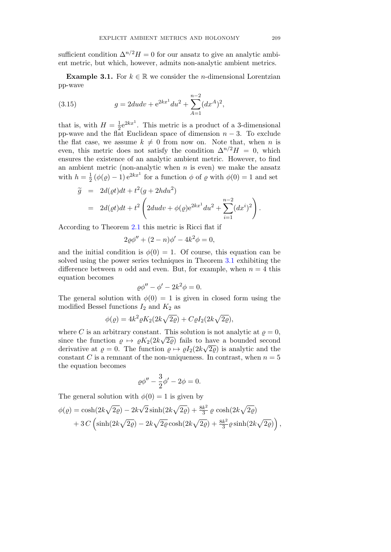sufficient condition  $\Delta^{n/2}H=0$  for our ansatz to give an analytic ambient metric, but which, however, admits non-analytic ambient metrics.

**Example 3.1.** For  $k \in \mathbb{R}$  we consider the *n*-dimensional Lorentzian pp-wave

(3.15) 
$$
g = 2du dv + e^{2kx^1} du^2 + \sum_{A=1}^{n-2} (dx^A)^2,
$$

that is, with  $H = \frac{1}{2}e^{2kx^1}$ . This metric is a product of a 3-dimensional pp-wave and the flat Euclidean space of dimension  $n-3$ . To exclude the flat case, we assume  $k \neq 0$  from now on. Note that, when n is even, this metric does not satisfy the condition  $\Delta^{n/2}H = 0$ , which ensures the existence of an analytic ambient metric. However, to find an ambient metric (non-analytic when  $n$  is even) we make the ansatz with  $h = \frac{1}{2} (\phi(\varrho) - 1) e^{2kx^1}$  for a function  $\phi$  of  $\varrho$  with  $\phi(0) = 1$  and set

$$
\widetilde{g} = 2d(\varrho t)dt + t^2(g + 2hdu^2) \n= 2d(\varrho t)dt + t^2 \left(2dudv + \phi(\varrho)e^{2kx^1}du^2 + \sum_{i=1}^{n-2} (dx^i)^2\right).
$$

According to Theorem 2.1 this metric is Ricci flat if

$$
2\varrho \phi'' + (2 - n)\phi' - 4k^2 \phi = 0,
$$

and the initial condition is  $\phi(0) = 1$ . Of course, this equation can be solved using the power series techniques in Theorem 3.1 exhibiting the difference between n odd and even. But, for example, when  $n = 4$  this equation becomes

$$
\varrho \phi'' - \phi' - 2k^2 \phi = 0.
$$

The general solution with  $\phi(0) = 1$  is given in closed form using the modified Bessel functions  $I_2$  and  $K_2$  as

$$
\phi(\varrho) = 4k^2 \varrho K_2(2k\sqrt{2\varrho}) + C\varrho I_2(2k\sqrt{2\varrho}),
$$

where C is an arbitrary constant. This solution is not analytic at  $\rho = 0$ , since the function  $\rho \mapsto \rho K_2(2k\sqrt{2\rho})$  fails to have a bounded second derivative at  $\rho = 0$ . The function  $\rho \mapsto \rho I_2(2k\sqrt{2\rho})$  is analytic and the constant C is a remnant of the non-uniqueness. In contrast, when  $n = 5$ the equation becomes

$$
\varrho \phi'' - \frac{3}{2} \phi' - 2\phi = 0.
$$

The general solution with  $\phi(0) = 1$  is given by

$$
\phi(\varrho) = \cosh(2k\sqrt{2\varrho}) - 2k\sqrt{2}\sinh(2k\sqrt{2\varrho}) + \frac{8k^2}{3}\varrho\,\cosh(2k\sqrt{2\varrho}) + 3C\left(\sinh(2k\sqrt{2\varrho}) - 2k\sqrt{2\varrho}\cosh(2k\sqrt{2\varrho}) + \frac{8k^2}{3}\varrho\sinh(2k\sqrt{2\varrho})\right),
$$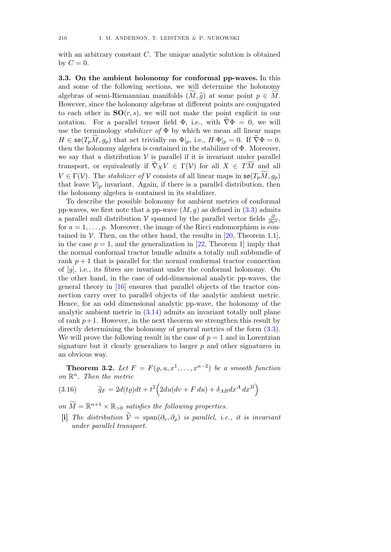with an arbitrary constant C. The unique analytic solution is obtained by  $C=0$ .

3.3. On the ambient holonomy for conformal pp-waves. In this and some of the following sections, we will determine the holonomy algebras of semi-Riemannian manifolds  $(M, \tilde{g})$  at some point  $p \in M$ .<br>Hence is some that halo power algebras at different points are conjunity of However, since the holonomy algebras at different points are conjugated to each other in  $SO(r, s)$ , we will not make the point explicit in our notation. For a parallel tensor field  $\Phi$ , i.e., with  $\nabla \Phi = 0$ , we will use the terminology *stabilizer* of  $\Phi$  by which we mean all linear maps  $H \in \mathfrak{so}(T_pM, g_p)$  that act trivially on  $\Phi|_p$ , i.e.,  $H \cdot \Phi|_p = 0$ . If  $\nabla \Phi = 0$ , then the holonomy algebra is contained in the stabilizer of Φ. Moreover, we say that a distribution  $V$  is parallel if it is invariant under parallel transport, or equivalently if  $\nabla_X V \in \Gamma(V)$  for all  $X \in TM$  and all  $V \in \Gamma(\mathcal{V})$ . The stabilizer of V consists of all linear maps in  $\mathfrak{so}(T_pM, g_p)$ that leave  $\mathcal{V}|_p$  invariant. Again, if there is a parallel distribution, then the holonomy algebra is contained in its stabilizer.

To describe the possible holonomy for ambient metrics of conformal pp-waves, we first note that a pp-wave  $(M, g)$  as defined in  $(3.3)$  admits a parallel null distribution  $\mathcal V$  spanned by the parallel vector fields  $\frac{\partial}{\partial v^a}$ , for  $a = 1, \ldots, p$ . Moreover, the image of the Ricci endomorphism is contained in  $V$ . Then, on the other hand, the results in [20, Theorem 1.1], in the case  $p = 1$ , and the generalization in [22, Theorem 1] imply that the normal conformal tractor bundle admits a totally null subbundle of rank  $p + 1$  that is parallel for the normal conformal tractor connection of [g], i.e., its fibres are invariant under the conformal holonomy. On the other hand, in the case of odd-dimensional analytic pp-waves, the general theory in [16] ensures that parallel objects of the tractor connection carry over to parallel objects of the analytic ambient metric. Hence, for an odd dimensional analytic pp-wave, the holonomy of the analytic ambient metric in (3.14) admits an invariant totally null plane of rank  $p+1$ . However, in the next theorem we strengthen this result by directly determining the holonomy of general metrics of the form (3.3). We will prove the following result in the case of  $p = 1$  and in Lorentzian signature but it clearly generalizes to larger  $p$  and other signatures in an obvious way.

**Theorem 3.2.** Let  $F = F(\rho, u, x^1, \dots, x^{n-2})$  be a smooth function on  $\mathbb{R}^n$ . Then the metric

(3.16) 
$$
\widetilde{g}_F = 2d(t\varrho)dt + t^2 \left(2du(dv + F du) + \delta_{AB}dx^A dx^B\right)
$$

on  $\widetilde{M} = \mathbb{R}^{n+1} \times \mathbb{R}_{>0}$  satisfies the following properties.

[i] The distribution  $\widetilde{\mathcal{V}} = \text{span}(\partial_v, \partial_\varrho)$  is parallel, i.e., it is invariant under parallel transport.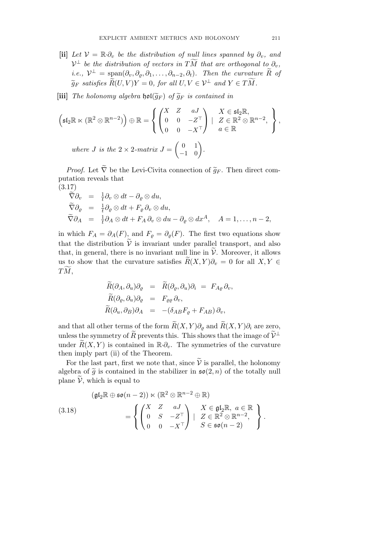- [ii] Let  $V = \mathbb{R} \cdot \partial_v$  be the distribution of null lines spanned by  $\partial_v$ , and  $\mathcal{V}^{\perp}$  be the distribution of vectors in TM that are orthogonal to  $\partial_{v}$ , i.e.,  $\mathcal{V}^{\perp} = \text{span}(\partial_v, \partial_\rho, \partial_1, \ldots, \partial_{n-2}, \partial_t)$ . Then the curvature  $\widetilde{R}$  of  $\widetilde{g}_F$  satisfies  $R(U, V)Y = 0$ , for all  $U, V \in \mathcal{V}^{\perp}$  and  $Y \in TM$ .
- [iii] The holonomy algebra  $\mathfrak{hol}(\widetilde{g}_F)$  of  $\widetilde{g}_F$  is contained in

$$
\left(\mathfrak{sl}_2\mathbb{R}\ltimes(\mathbb{R}^2\otimes\mathbb{R}^{n-2})\right)\oplus\mathbb{R}=\left\{\begin{pmatrix}X&Z&aJ\\0&0&-Z^{\top}\\0&0&-X^{\top}\end{pmatrix} \mid \begin{array}{l}X\in\mathfrak{sl}_2\mathbb{R},\\Z\in\mathbb{R}^2\otimes\mathbb{R}^{n-2},\\a\in\mathbb{R}\end{array}\right\},
$$
  
where  $J$  is the  $2\times 2$ -matrix  $J = \begin{pmatrix}0&1\\-1&0\end{pmatrix}$ .

*Proof.* Let  $\tilde{\nabla}$  be the Levi-Civita connection of  $\tilde{g}_F$ . Then direct computation reveals that

(3.17)  
\n
$$
\begin{array}{rcl}\n\widetilde{\nabla}\partial_v & = & \frac{1}{t}\partial_v \otimes dt - \partial_\varrho \otimes du, \\
\widetilde{\nabla}\partial_\varrho & = & \frac{1}{t}\partial_\varrho \otimes dt + F_\varrho \partial_v \otimes du, \\
\widetilde{\nabla}\partial_A & = & \frac{1}{t}\partial_A \otimes dt + F_A \partial_v \otimes du - \partial_\varrho \otimes dx^A, \quad A = 1, \dots, n-2,\n\end{array}
$$

in which  $F_A = \partial_A(F)$ , and  $F_\rho = \partial_\rho(F)$ . The first two equations show that the distribution  $\tilde{\mathcal{V}}$  is invariant under parallel transport, and also that, in general, there is no invariant null line in  $\mathcal{V}$ . Moreover, it allows us to show that the curvature satisfies  $R(X, Y)\partial_y = 0$  for all  $X, Y \in$  $TM,$ 

$$
\begin{aligned}\n\widetilde{R}(\partial_A, \partial_u)\partial_{\varrho} &= \widetilde{R}(\partial_{\varrho}, \partial_u)\partial_i = F_{A\varrho}\,\partial_v, \\
\widetilde{R}(\partial_{\varrho}, \partial_u)\partial_{\varrho} &= F_{\varrho\varrho}\,\partial_v, \\
\widetilde{R}(\partial_u, \partial_B)\partial_A &= -(\delta_{AB}F_{\varrho} + F_{AB})\,\partial_v,\n\end{aligned}
$$

and that all other terms of the form  $\widetilde{R}(X, Y)\partial_{\rho}$  and  $\widetilde{R}(X, Y)\partial_{i}$  are zero, unless the symmetry of  $\widetilde{R}$  prevents this. This shows that the image of  $\widetilde{V}^{\perp}$ under  $\widetilde{R}(X, Y)$  is contained in  $\mathbb{R} \cdot \partial_{\nu}$ . The symmetries of the curvature then imply part (ii) of the Theorem.

For the last part, first we note that, since  $\tilde{\mathcal{V}}$  is parallel, the holonomy algebra of  $\tilde{g}$  is contained in the stabilizer in  $\mathfrak{so}(2, n)$  of the totally null plane  $\tilde{\mathcal{V}}$ , which is equal to

(3.18)  
\n
$$
\begin{aligned}\n &\left(\mathfrak{gl}_2\mathbb{R}\oplus\mathfrak{so}(n-2)\right)\ltimes\left(\mathbb{R}^2\otimes\mathbb{R}^{n-2}\oplus\mathbb{R}\right) \\
 &= \left\{\begin{pmatrix} X & Z & aJ \\ 0 & S & -Z^\top \\ 0 & 0 & -X^\top \end{pmatrix} \mid \begin{array}{l} X\in\mathfrak{gl}_2\mathbb{R}, \ a\in\mathbb{R} \\ Z\in\mathbb{R}^2\otimes\mathbb{R}^{n-2}, \\ S\in\mathfrak{so}(n-2) \end{array}\right\}.\n \end{aligned}
$$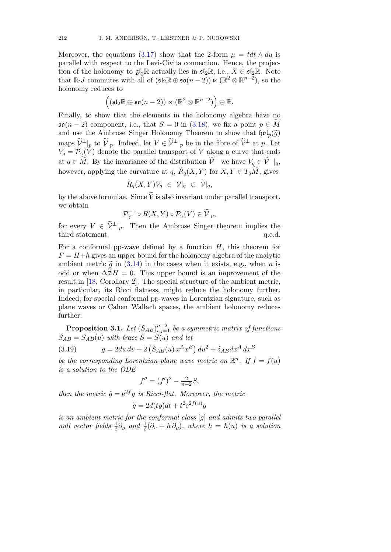Moreover, the equations (3.17) show that the 2-form  $\mu = t dt \wedge du$  is parallel with respect to the Levi-Civita connection. Hence, the projection of the holonomy to  $\mathfrak{gl}_2\mathbb{R}$  actually lies in  $\mathfrak{sl}_2\mathbb{R}$ , i.e.,  $X \in \mathfrak{sl}_2\mathbb{R}$ . Note that  $\mathbb{R} \cdot J$  commutes with all of  $(\mathfrak{sl}_2 \mathbb{R} \oplus \mathfrak{so}(n-2)) \ltimes (\mathbb{R}^2 \otimes \mathbb{R}^{n-2})$ , so the holonomy reduces to

$$
\Big((\mathfrak{sl}_2\mathbb{R}\oplus\mathfrak{so}(n-2))\ltimes(\mathbb{R}^2\otimes\mathbb{R}^{n-2})\Big)\oplus\mathbb{R}.
$$

Finally, to show that the elements in the holonomy algebra have no  $\mathfrak{so}(n-2)$  component, i.e., that  $S = 0$  in  $(3.18)$ , we fix a point  $p \in M$ and use the Ambrose–Singer Holonomy Theorem to show that  $\mathfrak{hol}_n(\tilde{q})$ maps  $\mathcal{V}^{\perp}|_p$  to  $\mathcal{V}|_p$ . Indeed, let  $V \in \mathcal{V}^{\perp}|_p$  be in the fibre of  $\mathcal{V}^{\perp}$  at p. Let  $V_q = \mathcal{P}_{\gamma}(V)$  denote the parallel transport of V along a curve that ends at  $q \in M$ . By the invariance of the distribution  $\mathcal{V}^{\perp}$  we have  $V_q \in \mathcal{V}^{\perp}|_q$ , however, applying the curvature at  $q$ ,  $R_q(X, Y)$  for  $X, Y \in T_qM$ , gives

$$
\widetilde{R}_q(X,Y)V_q \in \mathcal{V}|_q \subset \widetilde{\mathcal{V}}|_q,
$$

by the above formulae. Since  $\tilde{\mathcal{V}}$  is also invariant under parallel transport, we obtain

$$
\mathcal{P}_{\gamma}^{-1} \circ R(X, Y) \circ \mathcal{P}_{\gamma}(V) \in \widetilde{\mathcal{V}}|_{p},
$$

for every  $V \in \widetilde{\mathcal{V}}^{\perp}|_p$ . Then the Ambrose–Singer theorem implies the third statement. q.e.d. third statement.

For a conformal pp-wave defined by a function  $H$ , this theorem for  $F = H+h$  gives an upper bound for the holonomy algebra of the analytic ambient metric  $\tilde{g}$  in (3.14) in the cases when it exists, e.g., when n is odd or when  $\Delta^{\frac{n}{2}}H = 0$ . This upper bound is an improvement of the result in [18, Corollary 2]. The special structure of the ambient metric, in particular, its Ricci flatness, might reduce the holonomy further. Indeed, for special conformal pp-waves in Lorentzian signature, such as plane waves or Cahen–Wallach spaces, the ambient holonomy reduces further:

**Proposition 3.1.** Let  $(S_{AB})_{i,j=1}^{n-2}$  be a symmetric matrix of functions  $S_{AB} = S_{AB}(u)$  with trace  $S = S(u)$  and let

(3.19) 
$$
g = 2du dv + 2(S_{AB}(u) x^{A} x^{B}) du^{2} + \delta_{AB} dx^{A} dx^{B}
$$

be the corresponding Lorentzian plane wave metric on  $\mathbb{R}^n$ . If  $f = f(u)$ is a solution to the ODE

$$
f'' = (f')^2 - \frac{2}{n-2}S,
$$

then the metric  $\hat{q} = e^{2f}q$  is Ricci-flat. Moreover, the metric

$$
\widetilde{g} = 2d(t\varrho)dt + t^2 e^{2f(u)}g
$$

is an ambient metric for the conformal class [g] and admits two parallel null vector fields  $\frac{1}{t}\partial_{\varrho}$  and  $\frac{1}{t}(\partial_{v}+h\partial_{\varrho})$ , where  $h=h(u)$  is a solution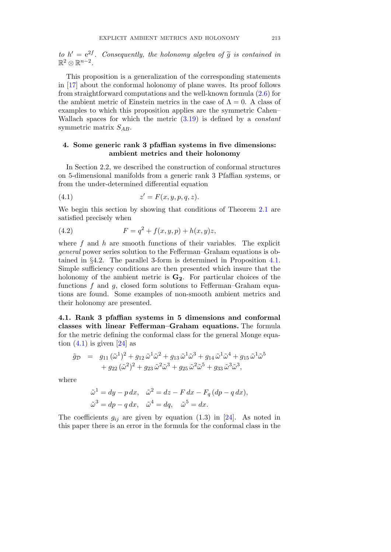to  $h' = e^{2f}$ . Consequently, the holonomy algebra of  $\tilde{g}$  is contained in  $\mathbb{R}^2 \otimes \mathbb{R}^{n-2}$ .

This proposition is a generalization of the corresponding statements in [17] about the conformal holonomy of plane waves. Its proof follows from straightforward computations and the well-known formula (2.6) for the ambient metric of Einstein metrics in the case of  $\Lambda = 0$ . A class of examples to which this proposition applies are the symmetric Cahen– Wallach spaces for which the metric  $(3.19)$  is defined by a *constant* symmetric matrix  $S_{AB}$ .

## 4. Some generic rank 3 pfaffian systems in five dimensions: ambient metrics and their holonomy

In Section 2.2, we described the construction of conformal structures on 5-dimensional manifolds from a generic rank 3 Pfaffian systems, or from the under-determined differential equation

$$
(4.1) \t\t z' = F(x, y, p, q, z).
$$

We begin this section by showing that conditions of Theorem 2.1 are satisfied precisely when

(4.2) 
$$
F = q^2 + f(x, y, p) + h(x, y)z,
$$

where  $f$  and  $h$  are smooth functions of their variables. The explicit general power series solution to the Fefferman–Graham equations is obtained in §4.2. The parallel 3-form is determined in Proposition 4.1. Simple sufficiency conditions are then presented which insure that the holonomy of the ambient metric is  $G_2$ . For particular choices of the functions f and  $q$ , closed form solutions to Fefferman–Graham equations are found. Some examples of non-smooth ambient metrics and their holonomy are presented.

4.1. Rank 3 pfaffian systems in 5 dimensions and conformal classes with linear Fefferman–Graham equations. The formula for the metric defining the conformal class for the general Monge equation  $(4.1)$  is given  $[24]$  as

$$
\tilde{g}_{\mathcal{D}} = g_{11} (\tilde{\omega}^1)^2 + g_{12} \tilde{\omega}^1 \tilde{\omega}^2 + g_{13} \tilde{\omega}^1 \tilde{\omega}^3 + g_{14} \tilde{\omega}^1 \tilde{\omega}^4 + g_{15} \tilde{\omega}^1 \tilde{\omega}^5 \n+ g_{22} (\tilde{\omega}^2)^2 + g_{23} \tilde{\omega}^2 \tilde{\omega}^3 + g_{25} \tilde{\omega}^2 \tilde{\omega}^5 + g_{33} \tilde{\omega}^3 \tilde{\omega}^3,
$$

where

$$
\tilde{\omega}^1 = dy - p dx, \quad \tilde{\omega}^2 = dz - F dx - F_q (dp - q dx),
$$
  

$$
\tilde{\omega}^3 = dp - q dx, \quad \tilde{\omega}^4 = dq, \quad \tilde{\omega}^5 = dx.
$$

The coefficients  $g_{ij}$  are given by equation (1.3) in [24]. As noted in this paper there is an error in the formula for the conformal class in the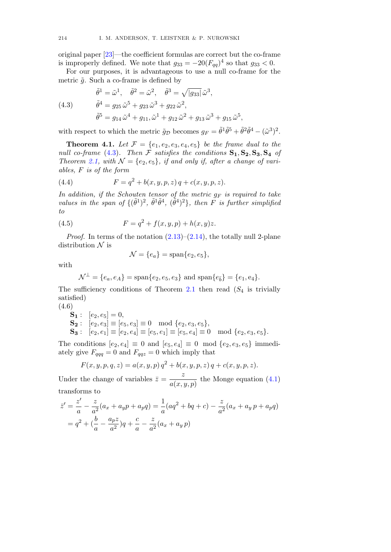original paper [23]—the coefficient formulas are correct but the co-frame is improperly defined. We note that  $g_{33} = -20(F_{aa})^4$  so that  $g_{33} < 0$ .

For our purposes, it is advantageous to use a null co-frame for the metric  $\tilde{g}$ . Such a co-frame is defined by

(4.3)  
\n
$$
\tilde{\theta}^{1} = \tilde{\omega}^{1}, \quad \tilde{\theta}^{2} = \tilde{\omega}^{2}, \quad \tilde{\theta}^{3} = \sqrt{|g_{33}|} \tilde{\omega}^{3},
$$
\n
$$
\tilde{\theta}^{4} = g_{25} \tilde{\omega}^{5} + g_{23} \tilde{\omega}^{3} + g_{22} \tilde{\omega}^{2},
$$
\n
$$
\tilde{\theta}^{5} = g_{14} \tilde{\omega}^{4} + g_{11}, \tilde{\omega}^{1} + g_{12} \tilde{\omega}^{2} + g_{13} \tilde{\omega}^{3} + g_{15} \tilde{\omega}^{5},
$$

with respect to which the metric  $\tilde{g}_D$  becomes  $g_F = \tilde{\theta}^1 \tilde{\theta}^5 + \tilde{\theta}^2 \tilde{\theta}^4 - (\tilde{\omega}^3)^2$ .

**Theorem 4.1.** Let  $\mathcal{F} = \{e_1, e_2, e_3, e_4, e_5\}$  be the frame dual to the null co-frame (4.3). Then F satisfies the conditions  $S_1, S_2, S_3, S_4$  of Theorem 2.1, with  $\mathcal{N} = \{e_2, e_5\}$ , if and only if, after a change of variables, F is of the form

(4.4) 
$$
F = q^2 + b(x, y, p, z) q + c(x, y, p, z).
$$

In addition, if the Schouten tensor of the metric  $q_F$  is required to take values in the span of  $\{(\tilde{\theta}^1)^2, \tilde{\theta}^1\tilde{\theta}^4, (\tilde{\theta}^4)^2\}$ , then F is further simplified to

(4.5) 
$$
F = q^2 + f(x, y, p) + h(x, y)z.
$$

*Proof.* In terms of the notation  $(2.13)$ – $(2.14)$ , the totally null 2-plane distribution  $\mathcal N$  is

$$
\mathcal{N} = \{e_a\} = \text{span}\{e_2, e_5\},\
$$

with

$$
\mathcal{N}^{\perp} = \{e_a, e_A\} = \text{span}\{e_2, e_5, e_3\} \text{ and } \text{span}\{e_{\bar{b}}\} = \{e_1, e_4\}.
$$

The sufficiency conditions of Theorem 2.1 then read  $(S_4$  is trivially satisfied)

(4.6)

- ${\bf S_1}: \;\; [e_2,e_5]=0,$
- $\mathbf{S_2}: [e_2, e_3] \equiv [e_5, e_3] \equiv 0 \mod \{e_2, e_3, e_5\},\$
- $\mathbf{S_3}: [e_2, e_1] \equiv [e_2, e_4] \equiv [e_5, e_1] \equiv [e_5, e_4] \equiv 0 \mod{e_2, e_3, e_5}.$

The conditions  $[e_2, e_4] \equiv 0$  and  $[e_5, e_4] \equiv 0$  mod  $\{e_2, e_3, e_5\}$  immediately give  $F_{qqq} = 0$  and  $F_{qqz} = 0$  which imply that

$$
F(x, y, p, q, z) = a(x, y, p) q2 + b(x, y, p, z) q + c(x, y, p, z).
$$

Under the change of variables  $\bar{z} = \frac{z}{a(x, y, p)}$  the Monge equation (4.1) transforms to

$$
\bar{z}' = \frac{z'}{a} - \frac{z}{a^2}(a_x + a_y p + a_p q) = \frac{1}{a}(aq^2 + bq + c) - \frac{z}{a^2}(a_x + a_y p + a_p q)
$$
  
=  $q^2 + (\frac{b}{a} - \frac{a_p z}{a^2})q + \frac{c}{a} - \frac{z}{a^2}(a_x + a_y p)$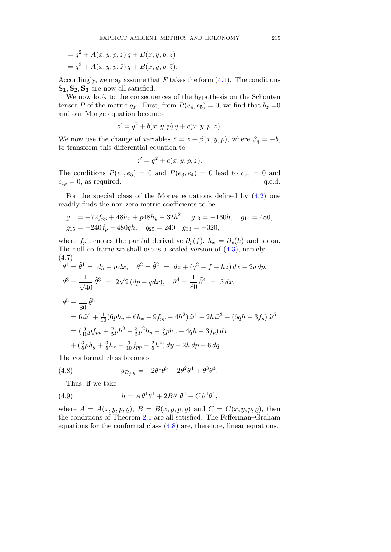$$
= q2 + A(x, y, p, z) q + B(x, y, p, z)
$$
  

$$
= q2 + \bar{A}(x, y, p, \bar{z}) q + \bar{B}(x, y, p, \bar{z}).
$$

Accordingly, we may assume that  $F$  takes the form  $(4.4)$ . The conditions  $S_1, S_2, S_3$  are now all satisfied.

We now look to the consequences of the hypothesis on the Schouten tensor P of the metric  $g_F$ . First, from  $P(e_4, e_5) = 0$ , we find that  $b_z = 0$ and our Monge equation becomes

$$
z' = q^2 + b(x, y, p) q + c(x, y, p, z).
$$

We now use the change of variables  $\bar{z} = z + \beta(x, y, p)$ , where  $\beta_q = -b$ , to transform this differential equation to

$$
z' = q^2 + c(x, y, p, z).
$$

The conditions  $P(e_1, e_5) = 0$  and  $P(e_3, e_4) = 0$  lead to  $c_{zz} = 0$  and  $c_{zp} = 0$ , as required. q.e.d.

For the special class of the Monge equations defined by (4.2) one readily finds the non-zero metric coefficients to be

$$
g_{11} = -72f_{pp} + 48h_x + p48h_y - 32h^2
$$
,  $g_{13} = -160h$ ,  $g_{14} = 480$ ,  
\n $g_{15} = -240f_p - 480qh$ ,  $g_{25} = 240$ ,  $g_{33} = -320$ ,

where  $f_p$  denotes the partial derivative  $\partial_p(f)$ ,  $h_x = \partial_x(h)$  and so on. The null co-frame we shall use is a scaled version of (4.3), namely (4.7)

$$
\theta^{1} = \tilde{\theta}^{1} = dy - p dx, \quad \theta^{2} = \tilde{\theta}^{2} = dz + (q^{2} - f - hz) dx - 2q dp,
$$
  
\n
$$
\theta^{3} = \frac{1}{\sqrt{40}} \tilde{\theta}^{3} = 2\sqrt{2} (dp - q dx), \quad \theta^{4} = \frac{1}{80} \tilde{\theta}^{4} = 3 dx,
$$
  
\n
$$
\theta^{5} = \frac{1}{80} \tilde{\theta}^{5}
$$
  
\n
$$
= 6 \tilde{\omega}^{4} + \frac{1}{10} (6ph_{y} + 6h_{x} - 9f_{pp} - 4h^{2}) \tilde{\omega}^{1} - 2h \tilde{\omega}^{3} - (6qh + 3f_{p}) \tilde{\omega}^{5}
$$
  
\n
$$
= (\frac{9}{10} pf_{pp} + \frac{2}{5} ph^{2} - \frac{3}{5} p^{2} h_{y} - \frac{3}{5} ph_{x} - 4qh - 3f_{p}) dx
$$
  
\n
$$
+ (\frac{3}{5} ph_{y} + \frac{3}{5} h_{x} - \frac{9}{10} f_{pp} - \frac{2}{5} h^{2}) dy - 2h dp + 6 dq.
$$

The conformal class becomes

(4.8) 
$$
g_{\mathcal{D}_{f,h}} = -2\theta^1 \theta^5 - 2\theta^2 \theta^4 + \theta^3 \theta^3.
$$

Thus, if we take

(4.9) 
$$
h = A \theta^1 \theta^1 + 2B \theta^1 \theta^4 + C \theta^4 \theta^4,
$$

where  $A = A(x, y, p, \varrho)$ ,  $B = B(x, y, p, \varrho)$  and  $C = C(x, y, p, \varrho)$ , then the conditions of Theorem 2.1 are all satisfied. The Fefferman–Graham equations for the conformal class (4.8) are, therefore, linear equations.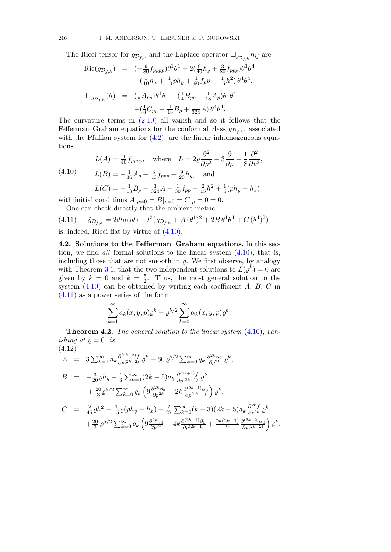The Ricci tensor for  $g_{\mathcal{D}_{f,h}}$  and the Laplace operator  $\Box_{g_{\mathcal{D}_{f,h}}} h_{ij}$  are

$$
Ric(g_{\mathcal{D}_{f,h}}) = (-\frac{9}{80}f_{pppp})\theta^1\theta^1 - 2(\frac{9}{40}h_y + \frac{3}{80}f_{ppp})\theta^1\theta^4
$$

$$
-(\frac{1}{10}h_x + \frac{1}{10}ph_y + \frac{1}{60}f_p p - \frac{1}{15}h^2)\theta^4\theta^4,
$$

$$
\Box_{g_{\mathcal{D}_{f,h}}}(h) = (\frac{1}{8}A_{pp})\theta^1\theta^1 + (\frac{1}{4}B_{pp} - \frac{1}{18}A_p)\theta^1\theta^4
$$

$$
+(\frac{1}{8}C_{pp} - \frac{1}{18}B_p + \frac{1}{324}A)\theta^4\theta^4.
$$

The curvature terms in (2.10) all vanish and so it follows that the Fefferman–Graham equations for the conformal class  $g_{D_{f,h}}$ , associated with the Pfaffian system for  $(4.2)$ , are the linear inhomogeneous equations  $\triangle$ <sup>2</sup>

(4.10) 
$$
L(A) = \frac{9}{40} f_{pppp}, \text{ where } L = 2\varrho \frac{\partial^2}{\partial \varrho^2} - 3\frac{\partial}{\partial \varrho} - \frac{1}{8} \frac{\partial^2}{\partial p^2},
$$

$$
L(B) = -\frac{1}{36} A_p + \frac{3}{40} f_{ppp} + \frac{9}{20} h_y, \text{ and}
$$

$$
L(C) = -\frac{1}{18} B_p + \frac{1}{324} A + \frac{1}{30} f_{pp} - \frac{2}{15} h^2 + \frac{1}{5} (ph_y + h_x).
$$

with initial conditions  $A|_{\rho=0} = B|_{\rho=0} = C|_{\rho=0} = 0.$ One can check directly that the ambient metric

(4.11) 
$$
\tilde{g}_{\mathcal{D}_{f,h}} = 2dt d(\varrho t) + t^2 (g_{\mathcal{D}_{f,h}} + A(\theta^1)^2 + 2B \theta^1 \theta^4 + C(\theta^4)^2)
$$

is, indeed, Ricci flat by virtue of (4.10).

4.2. Solutions to the Fefferman–Graham equations. In this section, we find *all* formal solutions to the linear system  $(4.10)$ , that is, including those that are not smooth in  $\rho$ . We first observe, by analogy with Theorem 3.1, that the two independent solutions to  $L(\varrho^k) = 0$  are given by  $k = 0$  and  $k = \frac{5}{2}$ . Thus, the most general solution to the system  $(4.10)$  can be obtained by writing each coefficient  $A, B, C$  in (4.11) as a power series of the form

$$
\sum_{k=1}^{\infty} a_k(x, y, p) \varrho^k + \varrho^{5/2} \sum_{k=0}^{\infty} \alpha_k(x, y, p) \varrho^k.
$$

**Theorem 4.2.** The general solution to the linear system  $(4.10)$ , vanishing at  $\rho = 0$ , is  $(4.12)$ 

$$
A = 3 \sum_{k=1}^{\infty} a_k \frac{\partial^{(2k+2)} f}{\partial p^{(2k+2)}} \varrho^k + 60 \varrho^{5/2} \sum_{k=0}^{\infty} q_k \frac{\partial^{2k} \alpha_0}{\partial p^{2k}} \varrho^k,
$$
  
\n
$$
B = -\frac{3}{20} \varrho h_y - \frac{1}{3} \sum_{k=1}^{\infty} (2k-5) a_k \frac{\partial^{(2k+1)} f}{\partial p^{(2k+1)}} \varrho^k
$$
  
\n
$$
+ \frac{20}{3} \varrho^{5/2} \sum_{k=0}^{\infty} q_k \left( 9 \frac{\partial^{2k} \beta_0}{\partial p^{2k}} - 2k \frac{\partial^{(2k-1)} \alpha_0}{\partial p^{(2k-1)}} \right) \varrho^k,
$$
  
\n
$$
C = \frac{2}{45} \varrho h^2 - \frac{1}{15} \varrho (p h_y + h_x) + \frac{2}{27} \sum_{k=1}^{\infty} (k-3) (2k-5) a_k \frac{\partial^{2k} f}{\partial p^{2k}} \varrho^k
$$
  
\n
$$
+ \frac{20}{3} \varrho^{5/2} \sum_{k=0}^{\infty} q_k \left( 9 \frac{\partial^{2k} \gamma_0}{\partial p^{2k}} - 4k \frac{\partial^{(2k-1)} \beta_0}{\partial p^{(2k-1)}} + \frac{2k(2k-1)}{9} \frac{\partial^{(2k-2)} \alpha_0}{\partial p^{(2k-2)}} \right) \varrho^k.
$$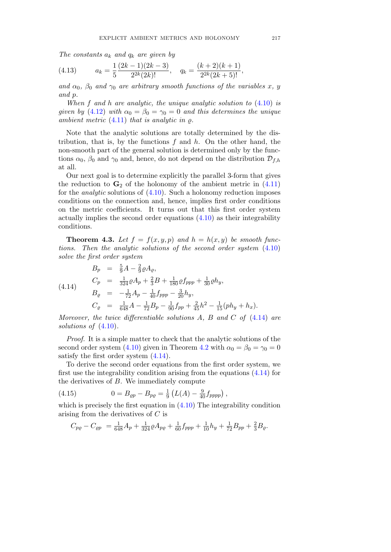The constants  $a_k$  and  $q_k$  are given by

(4.13) 
$$
a_k = \frac{1}{5} \frac{(2k-1)(2k-3)}{2^{2k}(2k)!}, \quad q_k = \frac{(k+2)(k+1)}{2^{2k}(2k+5)!},
$$

and  $\alpha_0$ ,  $\beta_0$  and  $\gamma_0$  are arbitrary smooth functions of the variables x, y and p.

When  $f$  and  $h$  are analytic, the unique analytic solution to  $(4.10)$  is given by (4.12) with  $\alpha_0 = \beta_0 = \gamma_0 = 0$  and this determines the unique ambient metric  $(4.11)$  that is analytic in  $\rho$ .

Note that the analytic solutions are totally determined by the distribution, that is, by the functions  $f$  and  $h$ . On the other hand, the non-smooth part of the general solution is determined only by the functions  $\alpha_0$ ,  $\beta_0$  and  $\gamma_0$  and, hence, do not depend on the distribution  $\mathcal{D}_{f,h}$ at all.

Our next goal is to determine explicitly the parallel 3-form that gives the reduction to  $\mathbf{G}_2$  of the holonomy of the ambient metric in (4.11) for the *analytic* solutions of  $(4.10)$ . Such a holonomy reduction imposes conditions on the connection and, hence, implies first order conditions on the metric coefficients. It turns out that this first order system actually implies the second order equations  $(4.10)$  as their integrability conditions.

**Theorem 4.3.** Let  $f = f(x, y, p)$  and  $h = h(x, y)$  be smooth functions. Then the analytic solutions of the second order system (4.10) solve the first order system

$$
B_p = \frac{5}{9}A - \frac{2}{9}\rho A_\varrho,
$$
  
\n
$$
C_p = \frac{1}{324}\rho A_p + \frac{2}{3}B + \frac{1}{180}\rho f_{ppp} + \frac{1}{30}\rho h_y,
$$
  
\n
$$
B_\varrho = -\frac{1}{72}A_p - \frac{1}{40}f_{ppp} - \frac{3}{20}h_y,
$$
  
\n
$$
C_\varrho = \frac{1}{648}A - \frac{1}{72}B_p - \frac{1}{90}f_{pp} + \frac{2}{45}h^2 - \frac{1}{15}(ph_y + h_x).
$$

Moreover, the twice differentiable solutions A, B and C of  $(4.14)$  are solutions of  $(4.10)$ .

Proof. It is a simple matter to check that the analytic solutions of the second order system (4.10) given in Theorem 4.2 with  $\alpha_0 = \beta_0 = \gamma_0 = 0$ satisfy the first order system (4.14).

To derive the second order equations from the first order system, we first use the integrability condition arising from the equations (4.14) for the derivatives of  $B$ . We immediately compute

(4.15) 
$$
0 = B_{\rho p} - B_{\rho \rho} = \frac{1}{9} \left( L(A) - \frac{9}{40} f_{pppp} \right),
$$

which is precisely the first equation in  $(4.10)$  The integrability condition arising from the derivatives of C is

$$
C_{p\varrho} - C_{\varrho p} = \frac{1}{648}A_p + \frac{1}{324}\varrho A_{p\varrho} + \frac{1}{60}f_{ppp} + \frac{1}{10}h_y + \frac{1}{72}B_{pp} + \frac{2}{3}B_{\varrho}.
$$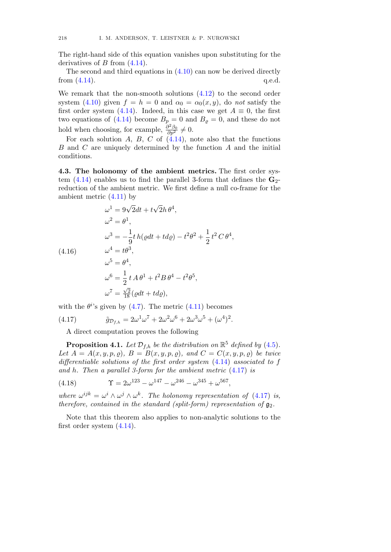The right-hand side of this equation vanishes upon substituting for the derivatives of  $B$  from  $(4.14)$ .

The second and third equations in (4.10) can now be derived directly from  $(4.14)$ . q.e.d.

We remark that the non-smooth solutions (4.12) to the second order system (4.10) given  $f = h = 0$  and  $\alpha_0 = \alpha_0(x, y)$ , do not satisfy the first order system (4.14). Indeed, in this case we get  $A \equiv 0$ , the first two equations of (4.14) become  $B_p = 0$  and  $B_q = 0$ , and these do not hold when choosing, for example,  $\frac{\partial^2 \beta_0}{\partial p^2} \neq 0$ .

For each solution A, B, C of  $(4.14)$ , note also that the functions  $B$  and  $C$  are uniquely determined by the function  $A$  and the initial conditions.

4.3. The holonomy of the ambient metrics. The first order system  $(4.14)$  enables us to find the parallel 3-form that defines the  $\mathbf{G}_2$ reduction of the ambient metric. We first define a null co-frame for the ambient metric  $(4.11)$  by

$$
\omega^1 = 9\sqrt{2}dt + t\sqrt{2}h\theta^4,
$$
  
\n
$$
\omega^2 = \theta^1,
$$
  
\n
$$
\omega^3 = -\frac{1}{9}t h(\varrho dt + t d\varrho) - t^2\theta^2 + \frac{1}{2}t^2 C \theta^4,
$$
  
\n(4.16)  
\n
$$
\omega^4 = t\theta^3,
$$
  
\n
$$
\omega^5 = \theta^4,
$$
  
\n
$$
\omega^6 = \frac{1}{2}t A\theta^1 + t^2 B\theta^4 - t^2\theta^5,
$$
  
\n
$$
\omega^7 = \frac{\sqrt{2}}{18}(\varrho dt + t d\varrho),
$$

with the  $\theta^i$ 's given by (4.7). The metric (4.11) becomes

(4.17) 
$$
\tilde{g}_{\mathcal{D}_{f,h}} = 2\omega^1 \omega^7 + 2\omega^2 \omega^6 + 2\omega^3 \omega^5 + (\omega^4)^2.
$$

A direct computation proves the following

**Proposition 4.1.** Let  $\mathcal{D}_{f,h}$  be the distribution on  $\mathbb{R}^5$  defined by (4.5). Let  $A = A(x, y, p, \rho)$ ,  $B = B(x, y, p, \rho)$ , and  $C = C(x, y, p, \rho)$  be twice differentiable solutions of the first order system (4.14) associated to f and h. Then a parallel 3-form for the ambient metric (4.17) is

(4.18) 
$$
\Upsilon = 2\omega^{123} - \omega^{147} - \omega^{246} - \omega^{345} + \omega^{567},
$$

where  $\omega^{ijk} = \omega^i \wedge \omega^j \wedge \omega^k$ . The holonomy representation of (4.17) is, therefore, contained in the standard (split-form) representation of  $\mathfrak{g}_2$ .

Note that this theorem also applies to non-analytic solutions to the first order system (4.14).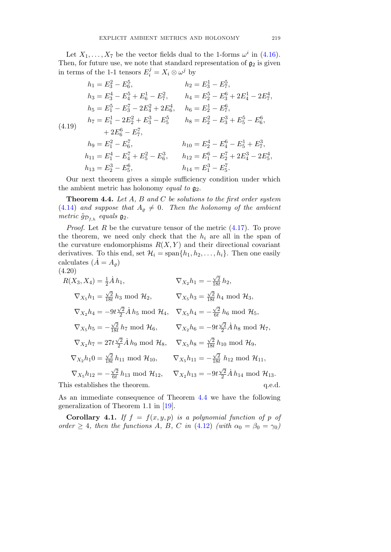Let  $X_1, \ldots, X_7$  be the vector fields dual to the 1-forms  $\omega^i$  in (4.16). Then, for future use, we note that standard representation of  $\mathfrak{g}_2$  is given in terms of the 1-1 tensors  $E_i^j = X_i \otimes \omega^j$  by

$$
h_1 = E_3^2 - E_6^5,
$$
  
\n
$$
h_2 = E_3^1 - E_7^5,
$$
  
\n
$$
h_3 = E_3^4 - E_4^5 + E_6^1 - E_7^2,
$$
  
\n
$$
h_4 = E_2^5 - E_3^6 + 2E_4^1 - 2E_7^4,
$$
  
\n
$$
h_5 = E_1^5 - E_3^7 - 2E_4^2 + 2E_6^4,
$$
  
\n
$$
h_6 = E_2^1 - E_7^6,
$$
  
\n
$$
h_7 = E_1^1 - 2E_2^2 + E_3^3 - E_5^5
$$
  
\n
$$
h_8 = E_2^2 - E_3^3 + E_5^5 - E_6^6,
$$
  
\n
$$
+ 2E_6^6 - E_7^7,
$$
  
\n
$$
h_9 = E_1^2 - E_6^7,
$$
  
\n
$$
h_{10} = E_2^4 - E_4^6 - E_5^1 + E_7^3,
$$
  
\n
$$
h_{11} = E_1^4 - E_4^7 + E_5^2 - E_6^3,
$$
  
\n
$$
h_{12} = E_1^6 - E_2^7 + 2E_4^3 - 2E_5^4,
$$
  
\n
$$
h_{13} = E_2^3 - E_5^6,
$$
  
\n
$$
h_{14} = E_1^3 - E_5^7.
$$

Our next theorem gives a simple sufficiency condition under which the ambient metric has holonomy equal to  $\mathfrak{g}_2$ .

**Theorem 4.4.** Let  $A$ ,  $B$  and  $C$  be solutions to the first order system (4.14) and suppose that  $A_{\varrho} \neq 0$ . Then the holonomy of the ambient metric  $\tilde{g}_{\mathcal{D}_{f,h}}$  equals  $\mathfrak{g}_2$ .

*Proof.* Let R be the curvature tensor of the metric  $(4.17)$ . To prove the theorem, we need only check that the  $h_i$  are all in the span of the curvature endomorphisms  $R(X, Y)$  and their directional covariant derivatives. To this end, set  $\mathcal{H}_i = \text{span}\{h_1, h_2, \ldots, h_i\}$ . Then one easily calculates  $(\dot{A} = A_o)$ (4.20)

$$
R(X_3, X_4) = \frac{1}{2} \dot{A} h_1, \qquad \nabla_{X_2} h_1 = -\frac{\sqrt{2}}{18t} h_2,
$$
  
\n
$$
\nabla_{X_5} h_1 = \frac{\sqrt{2}}{18t} h_3 \text{ mod } \mathcal{H}_2, \qquad \nabla_{X_5} h_3 = \frac{\sqrt{2}}{18t} h_4 \text{ mod } \mathcal{H}_3,
$$
  
\n
$$
\nabla_{X_2} h_4 = -9t \frac{\sqrt{2}}{2} \dot{A} h_5 \text{ mod } \mathcal{H}_4, \quad \nabla_{X_5} h_4 = -\frac{\sqrt{2}}{6t} h_6 \text{ mod } \mathcal{H}_5,
$$
  
\n
$$
\nabla_{X_5} h_5 = -\frac{\sqrt{2}}{18t} h_7 \text{ mod } \mathcal{H}_6, \qquad \nabla_{X_2} h_6 = -9t \frac{\sqrt{2}}{2} \dot{A} h_8 \text{ mod } \mathcal{H}_7,
$$
  
\n
$$
\nabla_{X_2} h_7 = 27t \frac{\sqrt{2}}{2} \dot{A} h_9 \text{ mod } \mathcal{H}_8, \qquad \nabla_{X_5} h_8 = \frac{\sqrt{2}}{18t} h_{10} \text{ mod } \mathcal{H}_9,
$$
  
\n
$$
\nabla_{X_2} h_1 0 = \frac{\sqrt{2}}{18t} h_{11} \text{ mod } \mathcal{H}_{10}, \qquad \nabla_{X_5} h_{11} = -\frac{\sqrt{2}}{18t} h_{12} \text{ mod } \mathcal{H}_{11},
$$
  
\n
$$
\nabla_{X_5} h_{12} = -\frac{\sqrt{2}}{6t} h_{13} \text{ mod } \mathcal{H}_{12}, \qquad \nabla_{X_2} h_{13} = -9t \frac{\sqrt{2}}{2} \dot{A} h_{14} \text{ mod } \mathcal{H}_{13}.
$$
This establishes the theorem.

As an immediate consequence of Theorem 4.4 we have the following

generalization of Theorem 1.1 in [19]. Corollary 4.1. If  $f = f(x, y, p)$  is a polynomial function of p of

order  $\geq 4$ , then the functions A, B, C in (4.12) (with  $\alpha_0 = \beta_0 = \gamma_0$ )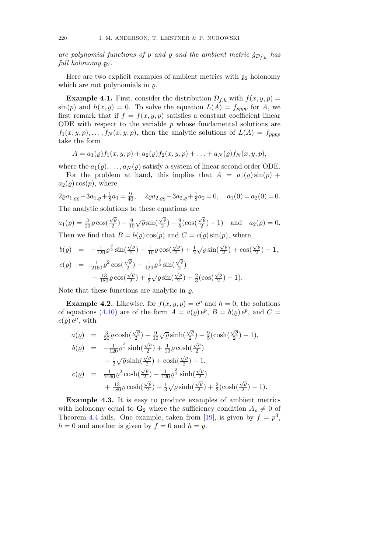are polynomial functions of p and  $\rho$  and the ambient metric  $\tilde{g}_{D_{f,h}}$  has full holonomy  $\mathfrak{g}_2$ .

Here are two explicit examples of ambient metrics with  $g_2$  holonomy which are not polynomials in  $\rho$ .

**Example 4.1.** First, consider the distribution  $\mathcal{D}_{f,h}$  with  $f(x, y, p) =$  $\sin(p)$  and  $h(x, y) = 0$ . To solve the equation  $L(A) = f_{pppp}$  for A, we first remark that if  $f = f(x, y, p)$  satisfies a constant coefficient linear ODE with respect to the variable  $p$  whose fundamental solutions are  $f_1(x, y, p), \ldots, f_N(x, y, p)$ , then the analytic solutions of  $L(A) = f_{pppp}$ take the form

$$
A = a_1(\varrho) f_1(x, y, p) + a_2(\varrho) f_2(x, y, p) + \ldots + a_N(\varrho) f_N(x, y, p),
$$

where the  $a_1(\varrho), \ldots, a_N(\varrho)$  satisfy a system of linear second order ODE.

For the problem at hand, this implies that  $A = a_1(\rho) \sin(p) +$  $a_2(\varrho)$  cos $(p)$ , where

$$
2\varrho a_{1,\varrho\varrho} - 3a_{1,\varrho} + \frac{1}{8}a_1 = \frac{9}{40}, \quad 2\varrho a_{2,\varrho\varrho} - 3a_{2,\varrho} + \frac{1}{8}a_2 = 0, \quad a_1(0) = a_2(0) = 0.
$$

The analytic solutions to these equations are

$$
a_1(\varrho) = \frac{3}{20}\varrho\cos(\frac{\sqrt{\varrho}}{2}) - \frac{9}{10}\sqrt{\varrho}\sin(\frac{\sqrt{\varrho}}{2}) - \frac{9}{5}(\cos(\frac{\sqrt{\varrho}}{2}) - 1) \text{ and } a_2(\varrho) = 0.
$$
  
Then we find that  $B = b(\varrho)\cos(\varrho)$  and  $C = \varrho(\varrho)\sin(\varrho)$  where

Then we find that 
$$
B = b(\varrho) \cos(p)
$$
 and  $C = c(\varrho) \sin(p)$ , where

$$
b(\varrho) = -\frac{1}{120} \varrho^{\frac{3}{2}} \sin(\frac{\sqrt{\varrho}}{2}) - \frac{1}{10} \varrho \cos(\frac{\sqrt{\varrho}}{2}) + \frac{1}{2} \sqrt{\varrho} \sin(\frac{\sqrt{\varrho}}{2}) + \cos(\frac{\sqrt{\varrho}}{2}) - 1,
$$
  

$$
c(\varrho) = \frac{1}{2160} \varrho^2 \cos(\frac{\sqrt{\varrho}}{2}) - \frac{1}{120} \varrho^{\frac{3}{2}} \sin(\frac{\sqrt{\varrho}}{2})
$$

$$
- \frac{13}{180} \varrho \cos(\frac{\sqrt{\varrho}}{2}) + \frac{1}{3} \sqrt{\varrho} \sin(\frac{\sqrt{\varrho}}{2}) + \frac{2}{3} (\cos(\frac{\sqrt{\varrho}}{2}) - 1).
$$

Note that these functions are analytic in  $\rho$ .

**Example 4.2.** Likewise, for  $f(x, y, p) = e^p$  and  $h = 0$ , the solutions of equations (4.10) are of the form  $A = a(\rho) e^{\rho}, B = b(\rho) e^{\rho}$ , and  $C =$  $c(\varrho) e^{\varrho}$ , with

$$
a(\varrho) = \frac{3}{20} \varrho \cosh(\frac{\sqrt{\varrho}}{2}) - \frac{9}{10} \sqrt{\varrho} \sinh(\frac{\sqrt{\varrho}}{2}) - \frac{9}{5} (\cosh(\frac{\sqrt{\varrho}}{2}) - 1),
$$
  
\n
$$
b(\varrho) = -\frac{1}{120} \varrho^{\frac{3}{2}} \sinh(\frac{\sqrt{\varrho}}{2}) + \frac{1}{10} \varrho \cosh(\frac{\sqrt{\varrho}}{2})
$$
  
\n
$$
-\frac{1}{2} \sqrt{\varrho} \sinh(\frac{\sqrt{\varrho}}{2}) + \cosh(\frac{\sqrt{\varrho}}{2}) - 1,
$$
  
\n
$$
c(\varrho) = \frac{1}{2160} \varrho^2 \cosh(\frac{\sqrt{\varrho}}{2}) - \frac{1}{120} \varrho^{\frac{3}{2}} \sinh(\frac{\sqrt{\varrho}}{2})
$$
  
\n
$$
+\frac{13}{180} \varrho \cosh(\frac{\sqrt{\varrho}}{2}) - \frac{1}{3} \sqrt{\varrho} \sinh(\frac{\sqrt{\varrho}}{2}) + \frac{2}{3} (\cosh(\frac{\sqrt{\varrho}}{2}) - 1).
$$

Example 4.3. It is easy to produce examples of ambient metrics with holonomy equal to  $\mathbf{G}_2$  where the sufficiency condition  $A_\rho \neq 0$  of Theorem 4.4 fails. One example, taken from [19], is given by  $f = p^3$ ,  $h = 0$  and another is given by  $f = 0$  and  $h = y$ .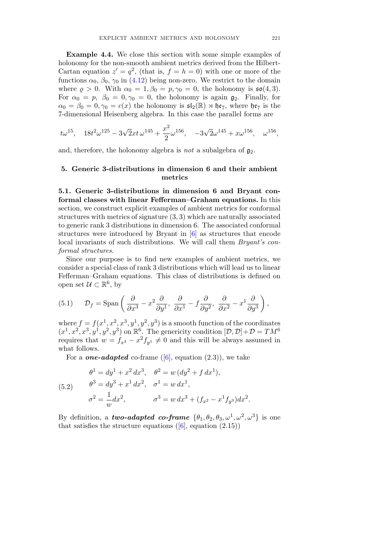Example 4.4. We close this section with some simple examples of holonomy for the non-smooth ambient metrics derived from the Hilbert-Cartan equation  $z' = q^2$ , (that is,  $f = h = 0$ ) with one or more of the functions  $\alpha_0$ ,  $\beta_0$ ,  $\gamma_0$  in (4.12) being non-zero. We restrict to the domain where  $\rho > 0$ . With  $\alpha_0 = 1, \beta_0 = p, \gamma_0 = 0$ , the holonomy is  $\mathfrak{so}(4,3)$ . For  $\alpha_0 = p$ ,  $\beta_0 = 0, \gamma_0 = 0$ , the holonomy is again  $\mathfrak{g}_2$ . Finally, for  $\alpha_0 = \beta_0 = 0, \gamma_0 = c(x)$  the holonomy is  $\mathfrak{sl}_2(\mathbb{R}) \rtimes \mathfrak{he}_7$ , where  $\mathfrak{he}_7$  is the 7-dimensional Heisenberg algebra. In this case the parallel forms are

$$
t\omega^{15}, \quad 18t^2\omega^{125} - 3\sqrt{2}xt\,\omega^{145} + \frac{x^2}{2}\omega^{156}, \quad -3\sqrt{2}\omega^{145} + x\omega^{156}, \quad \omega^{156},
$$

and, therefore, the holonomy algebra is not a subalgebra of  $\mathfrak{g}_2$ .

## 5. Generic 3-distributions in dimension 6 and their ambient metrics

5.1. Generic 3-distributions in dimension 6 and Bryant conformal classes with linear Fefferman–Graham equations. In this section, we construct explicit examples of ambient metrics for conformal structures with metrics of signature (3, 3) which are naturally associated to generic rank 3 distributions in dimension 6. The associated conformal structures were introduced by Bryant in [6] as structures that encode local invariants of such distributions. We will call them Bryant's conformal structures.

Since our purpose is to find new examples of ambient metrics, we consider a special class of rank 3 distributions which will lead us to linear Fefferman–Graham equations. This class of distributions is defined on open set  $\mathcal{U} \subset \mathbb{R}^6$ , by

(5.1) 
$$
\mathcal{D}_f = \text{Span}\left(\frac{\partial}{\partial x^3} - x^2 \frac{\partial}{\partial y^1}, \frac{\partial}{\partial x^1} - f \frac{\partial}{\partial y^2}, \frac{\partial}{\partial x^2} - x^1 \frac{\partial}{\partial y^3}\right),
$$

where  $f = f(x^1, x^2, x^3, y^1, y^2, y^3)$  is a smooth function of the coordinates  $(x^1, x^2, x^3, y^1, y^2, y^3)$  on  $\mathbb{R}^6$ . The genericity condition  $[\mathcal{D}, \mathcal{D}]+\mathcal{D}=TM^6$ requires that  $w = f_{x^3} - x^2 f_{y^1} \neq 0$  and this will be always assumed in what follows.

For a *one-adapted* co-frame ([6], equation (2.3)), we take

(5.2) 
$$
\begin{aligned}\n\theta^1 &= dy^1 + x^2 dx^3, & \theta^2 &= w (dy^2 + f dx^1), \\
\theta^3 &= dy^3 + x^1 dx^2, & \sigma^1 &= w dx^1, \\
\sigma^2 &= \frac{1}{w} dx^2, & \sigma^3 &= w dx^3 + (f_{x^2} - x^1 f_{y^3}) dx^2.\n\end{aligned}
$$

By definition, a **two-adapted co-frame**  $\{\theta_1, \theta_2, \theta_3, \omega^1, \omega^2, \omega^3\}$  is one that satisfies the structure equations  $([6], \text{ equation } (2.15))$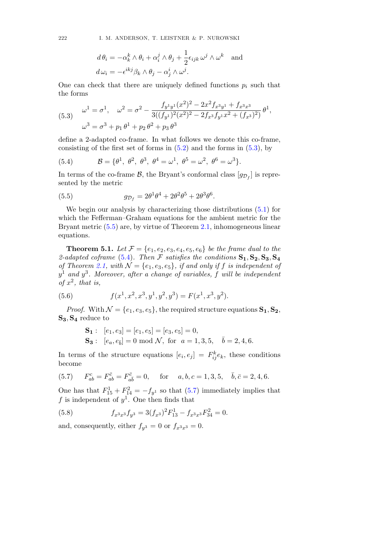$$
d\theta_i = -\alpha_k^k \wedge \theta_i + \alpha_i^j \wedge \theta_j + \frac{1}{2} \epsilon_{ijk} \omega^j \wedge \omega^k \text{ and}
$$

$$
d\omega_i = -\epsilon^{ikj} \beta_k \wedge \theta_j - \alpha_j^i \wedge \omega^j.
$$

One can check that there are uniquely defined functions  $p_i$  such that the forms

(5.3) 
$$
\omega^{1} = \sigma^{1}, \quad \omega^{2} = \sigma^{2} - \frac{f_{y^{1}y^{1}}(x^{2})^{2} - 2x^{2}f_{x^{3}y^{1}} + f_{x^{3}x^{3}}}{3((f_{y^{1}})^{2}(x^{2})^{2} - 2f_{x^{3}}f_{y^{1}}x^{2} + (f_{x^{3}})^{2})} \theta^{1},
$$

$$
\omega^{3} = \sigma^{3} + p_{1} \theta^{1} + p_{2} \theta^{2} + p_{3} \theta^{3}
$$

define a 2-adapted co-frame. In what follows we denote this co-frame, consisting of the first set of forms in  $(5.2)$  and the forms in  $(5.3)$ , by

(5.4) 
$$
\mathcal{B} = \{\theta^1, \ \theta^2, \ \theta^3, \ \theta^4 = \omega^1, \ \theta^5 = \omega^2, \ \theta^6 = \omega^3\}.
$$

In terms of the co-frame  $\mathcal{B}$ , the Bryant's conformal class  $[g_{\mathcal{D}_f}]$  is represented by the metric

(5.5) 
$$
g_{\mathcal{D}_f} = 2\theta^1 \theta^4 + 2\theta^2 \theta^5 + 2\theta^3 \theta^6.
$$

We begin our analysis by characterizing those distributions (5.1) for which the Fefferman–Graham equations for the ambient metric for the Bryant metric (5.5) are, by virtue of Theorem 2.1, inhomogeneous linear equations.

**Theorem 5.1.** Let  $\mathcal{F} = \{e_1, e_2, e_3, e_4, e_5, e_6\}$  be the frame dual to the 2-adapted coframe (5.4). Then  $\mathcal F$  satisfies the conditions  $S_1, S_2, S_3, S_4$ of Theorem 2.1, with  $\mathcal{N} = \{e_1, e_3, e_5\}$ , if and only if f is independent of  $y^1$  and  $y^3$ . Moreover, after a change of variables, f will be independent of  $x^2$ , that is,

(5.6) 
$$
f(x^1, x^2, x^3, y^1, y^2, y^3) = F(x^1, x^3, y^2).
$$

*Proof.* With  $\mathcal{N} = \{e_1, e_3, e_5\}$ , the required structure equations  $\mathbf{S_1}, \mathbf{S_2}$ ,  $S_3, S_4$  reduce to

**S**<sub>1</sub>: 
$$
[e_1, e_3] = [e_1, e_5] = [e_3, e_5] = 0,
$$
  
\n**S**<sub>3</sub>:  $[e_a, e_{\overline{b}}] = 0 \mod \mathcal{N}$ , for  $a = 1, 3, 5$ ,  $\overline{b} = 2, 4, 6$ .

In terms of the structure equations  $[e_i, e_j] = F_{ij}^k e_k$ , these conditions become

(5.7) 
$$
F_{ab}^c = F_{ab}^{\bar{c}} = F_{a\bar{b}}^{\bar{c}} = 0
$$
, for  $a, b, c = 1, 3, 5, \bar{b}, \bar{c} = 2, 4, 6$ .

One has that  $F_{15}^1 + F_{14}^2 = -f_{y^1}$  so that (5.7) immediately implies that f is independent of  $y^1$ . One then finds that

(5.8) 
$$
f_{x^3x^3}f_{y^3} = 3(f_{x^3})^2F_{13}^1 - f_{x^3x^3}F_{34}^2 = 0.
$$

and, consequently, either  $f_{y3} = 0$  or  $f_{x3x^3} = 0$ .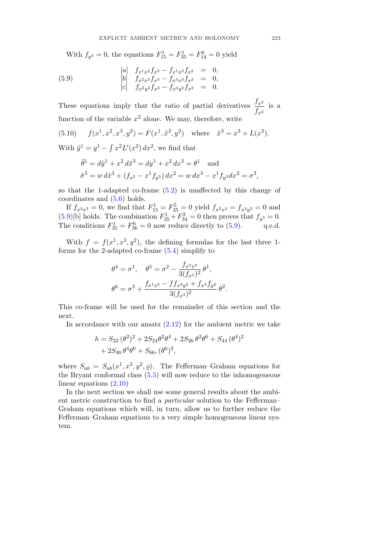With  $f_{y^3} = 0$ , the equations  $F_{15}^1 = F_{35}^1 = F_{14}^6 = 0$  yield

(5.9)   
\n
$$
\begin{array}{rcl}\n[a] & f_{x^1x^2}f_{x^3} - f_{x^1x^3}f_{x^2} & = & 0, \\
[b] & f_{x^2x^3}f_{x^3} - f_{x^3x^3}f_{x^2} & = & 0, \\
[c] & f_{x^2y^2}f_{x^3} - f_{x^3y^2}f_{x^2} & = & 0.\n\end{array}
$$

These equations imply that the ratio of partial derivatives  $\frac{f_x^2}{f_y^2}$  $\frac{f x^2}{f x^3}$  is a function of the variable  $x^2$  alone. We may, therefore, write

(5.10) 
$$
f(x^1, x^2, x^3, y^2) = F(x^1, \tilde{x}^3, y^2)
$$
 where  $\tilde{x}^3 = x^3 + L(x^2)$ .

With  $\tilde{y}^1 = y^1 - \int x^2 L'(x^2) dx^2$ , we find that

$$
\tilde{\theta}^1 = d\tilde{y}^1 + x^2 d\tilde{x}^3 = dy^1 + x^2 dx^3 = \theta^1 \text{ and}
$$
  

$$
\tilde{\sigma}^3 = w d\tilde{x}^3 + (f_{x^2} - x^1 f_{y^3}) dx^2 = w dx^3 - x^1 f_{y^3} dx^2 = \sigma^3,
$$

so that the 1-adapted co-frame (5.2) is unaffected by this change of coordinates and (5.6) holds.

If  $f_{x^3x^3} = 0$ , we find that  $F_{15}^1 = F_{35}^5 = 0$  yield  $f_{x^2x^3} = f_{x^3y^2} = 0$  and  $(5.9)$ [b] holds. The combination  $F_{35}^1 + F_{34}^2 = 0$  then proves that  $f_{y^3} = 0$ . The conditions  $F_{35}^1 = F_{36}^6 = 0$  now reduce directly to (5.9). q.e.d.

With  $f = f(x^1, x^3, y^2)$ , the defining formulas for the last three 1forms for the 2-adapted co-frame (5.4) simplify to

$$
\theta^4 = \sigma^1, \quad \theta^5 = \sigma^2 - \frac{f_{x^3 x^3}}{3(f_{x^3})^2} \theta^1,
$$
  

$$
\theta^6 = \sigma^3 + \frac{f_{x^1 x^3} - f f_{x^3 y^2} + f_{x^3} f_{y^2}}{3(f_{x^3})^2} \theta^2.
$$

This co-frame will be used for the remainder of this section and the next.

In accordance with our ansatz  $(2.12)$  for the ambient metric we take

$$
h = S_{22} (\theta^2)^2 + 2S_{24} \theta^2 \theta^4 + 2S_{26} \theta^2 \theta^6 + S_{44} (\theta^4)^2
$$
  
+ 2S\_{46} \theta^4 \theta^6 + S\_{66} (\theta^6)^2,

where  $S_{ab} = S_{ab}(x^1, x^3, y^2, \rho)$ . The Fefferman–Graham equations for the Bryant conformal class  $(5.5)$  will now reduce to the inhomogeneous linear equations (2.10)

In the next section we shall use some general results about the ambient metric construction to find a particular solution to the Fefferman– Graham equations which will, in turn, allow us to further reduce the Fefferman–Graham equations to a very simple homogeneous linear system.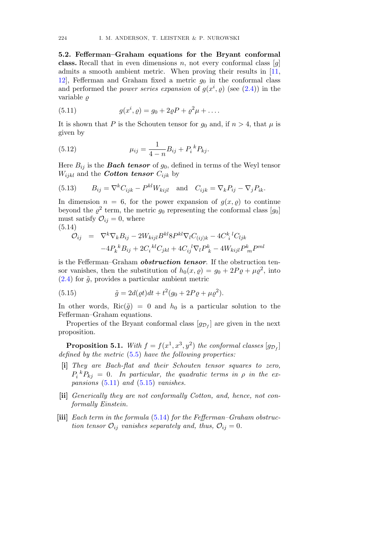5.2. Fefferman–Graham equations for the Bryant conformal class. Recall that in even dimensions n, not every conformal class  $[g]$ admits a smooth ambient metric. When proving their results in [11, 12, Fefferman and Graham fixed a metric  $g_0$  in the conformal class and performed the *power series expansion* of  $g(x^i, \rho)$  (see (2.4)) in the variable  $\rho$ 

(5.11) 
$$
g(x^{i}, \varrho) = g_0 + 2\varrho P + \varrho^{2} \mu + \dots
$$

It is shown that P is the Schouten tensor for  $g_0$  and, if  $n > 4$ , that  $\mu$  is given by

(5.12) 
$$
\mu_{ij} = \frac{1}{4-n} B_{ij} + P_i{}^k P_{kj}.
$$

Here  $B_{ij}$  is the **Bach tensor** of  $g_0$ , defined in terms of the Weyl tensor  $W_{ijkl}$  and the *Cotton tensor*  $C_{ijk}$  by

(5.13) 
$$
B_{ij} = \nabla^k C_{ijk} - P^{kl} W_{kijl} \text{ and } C_{ijk} = \nabla_k P_{ij} - \nabla_j P_{ik}.
$$

In dimension  $n = 6$ , for the power expansion of  $g(x, \rho)$  to continue beyond the  $\rho^2$  term, the metric  $g_0$  representing the conformal class  $[g_0]$ must satisfy  $\mathcal{O}_{ij} = 0$ , where (5.14)

$$
\mathcal{O}_{ij} = \nabla^k \nabla_k B_{ij} - 2W_{kijl} B^{kl} 8P^{kl} \nabla_l C_{(ij)k} - 4C_i^{k}{}^l C_{ljk} \n-4P_k^{k} B_{ij} + 2C_i^{kl} C_{jkl} + 4C_{ij}{}^l \nabla_l P_k^k - 4W_{kijl} P_m^k P^{ml}
$$

is the Fefferman–Graham *obstruction tensor*. If the obstruction tensor vanishes, then the substitution of  $h_0(x, \rho) = g_0 + 2P\rho + \mu \rho^2$ , into  $(2.4)$  for  $\tilde{g}$ , provides a particular ambient metric

(5.15) 
$$
\tilde{g} = 2d(\varrho t)dt + t^2(g_0 + 2P\varrho + \mu \varrho^2).
$$

In other words, Ric( $\tilde{q}$ ) = 0 and  $h_0$  is a particular solution to the Fefferman–Graham equations.

Properties of the Bryant conformal class  $[g_{\mathcal{D}_f}]$  are given in the next proposition.

**Proposition 5.1.** With  $f = f(x^1, x^3, y^2)$  the conformal classes  $[g_{\mathcal{D}_f}]$ defined by the metric  $(5.5)$  have the following properties:

- [i] They are Bach-flat and their Schouten tensor squares to zero,  $P_i{}^k P_{kj} = 0$ . In particular, the quadratic terms in  $\rho$  in the expansions  $(5.11)$  and  $(5.15)$  vanishes.
- [ii] Generically they are not conformally Cotton, and, hence, not conformally Einstein.
- [iii] Each term in the formula (5.14) for the Fefferman–Graham obstruction tensor  $\mathcal{O}_{ij}$  vanishes separately and, thus,  $\mathcal{O}_{ij} = 0$ .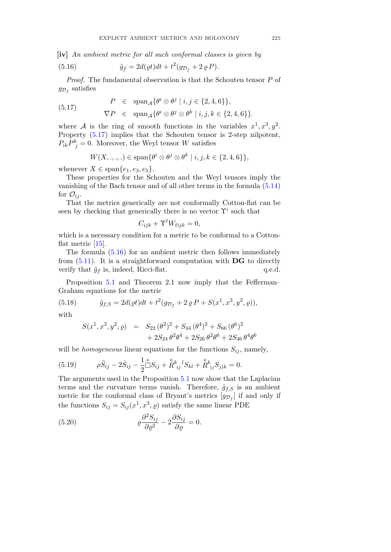[iv] An ambient metric for all such conformal classes is given by

(5.16) 
$$
\tilde{g}_f = 2d(\varrho t)dt + t^2(g_{\mathcal{D}_f} + 2 \varrho P).
$$

Proof. The fundamental observation is that the Schouten tensor P of  $g_{\mathcal{D}_f}$  satisfies

(5.17) 
$$
P \in \text{span}_{\mathcal{A}} \{ \theta^i \otimes \theta^j \mid i, j \in \{2, 4, 6\} \},
$$

$$
\nabla P \in \text{span}_{\mathcal{A}} \{ \theta^i \otimes \theta^j \otimes \theta^k \mid i, j, k \in \{2, 4, 6\} \}.
$$

where A is the ring of smooth functions in the variables  $x^1, x^3, y^2$ . Property (5.17) implies that the Schouten tensor is 2-step nilpotent,  $P_{ik}P_{j}^{k}=0$ . Moreover, the Weyl tensor W satisfies

$$
W(X, ..., .) \in \text{span}\{\theta^i \otimes \theta^j \otimes \theta^k \mid i, j, k \in \{2, 4, 6\}\},\
$$

whenever  $X \in \text{span}\{e_1, e_3, e_5\}.$ 

These properties for the Schouten and the Weyl tensors imply the vanishing of the Bach tensor and of all other terms in the formula (5.14) for  $\mathcal{O}_{ij}$ .

That the metrics generically are not conformally Cotton-flat can be seen by checking that generically there is no vector  $\Upsilon^i$  such that

$$
C_{ijk} + \Upsilon^{\ell} W_{\ell ijk} = 0,
$$

which is a necessary condition for a metric to be conformal to a Cottonflat metric [15].

The formula (5.16) for an ambient metric then follows immediately from  $(5.11)$ . It is a straightforward computation with **DG** to directly verify that  $\tilde{g}_f$  is, indeed, Ricci-flat. q.e.d.

Proposition 5.1 and Theorem 2.1 now imply that the Fefferman– Graham equations for the metric

(5.18) 
$$
\tilde{g}_{f,S} = 2d(\varrho t)dt + t^2(g_{\mathcal{D}_f} + 2 \varrho P + S(x^1, x^3, y^2, \varrho)),
$$

with

$$
S(x^{1}, x^{3}, y^{2}, \varrho) = S_{22} (\theta^{2})^{2} + S_{44} (\theta^{4})^{2} + S_{66} (\theta^{6})^{2}
$$
  
+ 
$$
2S_{24} \theta^{2} \theta^{4} + 2S_{26} \theta^{2} \theta^{6} + 2S_{46} \theta^{4} \theta^{6}
$$

will be *homogeneous* linear equations for the functions  $S_{ij}$ , namely,

(5.19) 
$$
\rho \ddot{S}_{ij} - 2 \dot{S}_{ij} - \frac{1}{2} \mathbb{S}_{ij} + \mathbb{R}^{k}{}_{ij}{}^{l} S_{kl} + \mathbb{R}^{k}{}_{(i} S_{j)k} = 0.
$$

The arguments used in the Proposition 5.1 now show that the Laplacian terms and the curvature terms vanish. Therefore,  $\tilde{g}_{f,S}$  is an ambient metric for the conformal class of Bryant's metrics  $[g_{\mathcal{D}_f}]$  if and only if the functions  $S_{ij} = S_{ij}(x^1, x^3, \rho)$  satisfy the same linear PDE

(5.20) 
$$
\qquad \qquad \varrho \frac{\partial^2 S_{ij}}{\partial \varrho^2} - 2 \frac{\partial S_{ij}}{\partial \varrho} = 0.
$$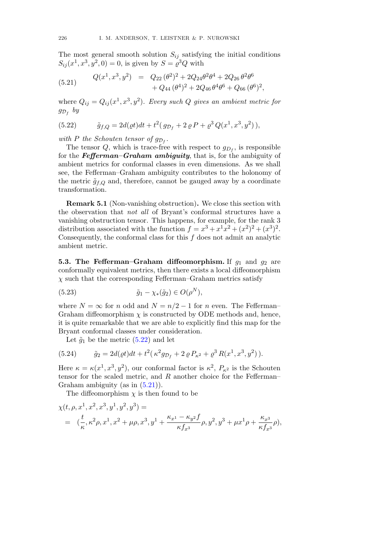The most general smooth solution  $S_{ij}$  satisfying the initial conditions  $S_{ij}(x^1, x^3, y^2, 0) = 0$ , is given by  $S = \rho^3 Q$  with

(5.21) 
$$
Q(x^1, x^3, y^2) = Q_{22} (\theta^2)^2 + 2Q_{24} \theta^2 \theta^4 + 2Q_{26} \theta^2 \theta^6 + Q_{44} (\theta^4)^2 + 2Q_{46} \theta^4 \theta^6 + Q_{66} (\theta^6)^2,
$$

where  $Q_{ij} = Q_{ij}(x^1, x^3, y^2)$ . Every such Q gives an ambient metric for  $g_{\mathcal{D}_f}$  by

(5.22) 
$$
\tilde{g}_{f,Q} = 2d(\varrho t)dt + t^2(g_{\mathcal{D}_f} + 2\varrho P + \varrho^3 Q(x^1, x^3, y^2)),
$$

with P the Schouten tensor of  $g_{\mathcal{D}_f}$ .

The tensor Q, which is trace-free with respect to  $g_{D_f}$ , is responsible for the **Fefferman–Graham ambiguity**, that is, for the ambiguity of ambient metrics for conformal classes in even dimensions. As we shall see, the Fefferman–Graham ambiguity contributes to the holonomy of the metric  $\tilde{g}_{f,Q}$  and, therefore, cannot be gauged away by a coordinate transformation.

Remark 5.1 (Non-vanishing obstruction). We close this section with the observation that not all of Bryant's conformal structures have a vanishing obstruction tensor. This happens, for example, for the rank 3 distribution associated with the function  $f = x^3 + x^1x^2 + (x^2)^2 + (x^3)^2$ . Consequently, the conformal class for this  $f$  does not admit an analytic ambient metric.

5.3. The Fefferman–Graham diffeomorphism. If  $q_1$  and  $q_2$  are conformally equivalent metrics, then there exists a local diffeomorphism  $\chi$  such that the corresponding Fefferman–Graham metrics satisfy

(5.23) 
$$
\tilde{g}_1 - \chi_*(\tilde{g}_2) \in O(\rho^N),
$$

where  $N = \infty$  for n odd and  $N = n/2 - 1$  for n even. The Fefferman– Graham diffeomorphism  $\chi$  is constructed by ODE methods and, hence, it is quite remarkable that we are able to explicitly find this map for the Bryant conformal classes under consideration.

Let  $\tilde{g}_1$  be the metric  $(5.22)$  and let

(5.24) 
$$
\tilde{g}_2 = 2d(\varrho t)dt + t^2(\kappa^2 g_{\mathcal{D}_f} + 2 \varrho P_{\kappa^2} + \varrho^3 R(x^1, x^3, y^2)).
$$

Here  $\kappa = \kappa(x^1, x^3, y^2)$ , our conformal factor is  $\kappa^2$ ,  $P_{\kappa^2}$  is the Schouten tensor for the scaled metric, and  $R$  another choice for the Fefferman– Graham ambiguity (as in  $(5.21)$ ).

The diffeomorphism  $\chi$  is then found to be

$$
\chi(t,\rho,x^1,x^2,x^3,y^1,y^2,y^3) =
$$
  
=  $(\frac{t}{\kappa},\kappa^2\rho,x^1,x^2+\mu\rho,x^3,y^1+\frac{\kappa_{x^1}-\kappa_{y^2}f}{\kappa f_{x^3}}\rho,y^2,y^3+\mu x^1\rho+\frac{\kappa_{x^3}}{\kappa f_{x^3}}\rho),$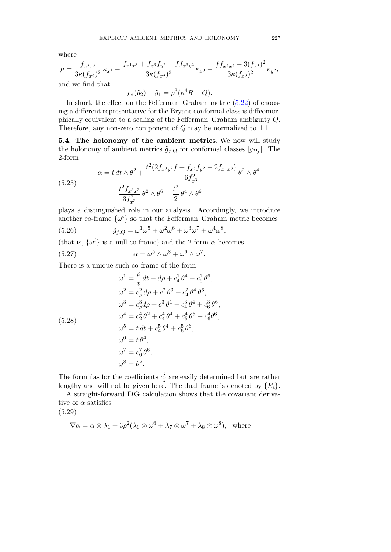where

$$
\mu = \frac{f_{x^3x^3}}{3\kappa (f_{x^3})^2} \kappa_{x^1} - \frac{f_{x^1x^3} + f_{x^3}f_{y^2} - f f_{x^3y^2}}{3\kappa (f_{x^3})^2} \kappa_{x^3} - \frac{f f_{x^3x^3} - 3(f_{x^3})^2}{3\kappa (f_{x^3})^2} \kappa_{y^2},
$$

and we find that

$$
\chi_*(\tilde{g}_2) - \tilde{g}_1 = \rho^3(\kappa^4 R - Q).
$$

In short, the effect on the Fefferman–Graham metric  $(5.22)$  of choosing a different representative for the Bryant conformal class is diffeomorphically equivalent to a scaling of the Fefferman–Graham ambiguity Q. Therefore, any non-zero component of  $Q$  may be normalized to  $\pm 1$ .

5.4. The holonomy of the ambient metrics. We now will study the holonomy of ambient metrics  $\tilde{g}_{f,Q}$  for conformal classes  $[g_{\mathcal{D}_f}]$ . The 2-form

(5.25)  

$$
\alpha = t dt \wedge \theta^2 + \frac{t^2 (2f_{x^3y^2}f + f_{x^3}f_{y^2} - 2f_{x^1x^3})}{6f_{x^3}^2} \theta^2 \wedge \theta^4
$$

$$
- \frac{t^2 f_{x^3x^3}}{3f_{x^3}^2} \theta^2 \wedge \theta^6 - \frac{t^2}{2} \theta^4 \wedge \theta^6
$$

plays a distinguished role in our analysis. Accordingly, we introduce another co-frame  $\{\omega^i\}$  so that the Fefferman–Graham metric becomes

(5.26) 
$$
\tilde{g}_{f,Q} = \omega^1 \omega^5 + \omega^2 \omega^6 + \omega^3 \omega^7 + \omega^4 \omega^8,
$$

(that is,  $\{\omega^i\}$  is a null co-frame) and the 2-form  $\alpha$  becomes

(5.27) 
$$
\alpha = \omega^5 \wedge \omega^8 + \omega^6 \wedge \omega^7.
$$

There is a unique such co-frame of the form

(5.28)  
\n
$$
\omega^{1} = \frac{\rho}{t} dt + d\rho + c_{4}^{1} \theta^{4} + c_{6}^{1} \theta^{6},
$$
\n
$$
\omega^{2} = c_{\rho}^{2} d\rho + c_{1}^{2} \theta^{3} + c_{4}^{2} \theta^{4} \theta^{6},
$$
\n
$$
\omega^{3} = c_{\rho}^{3} d\rho + c_{1}^{3} \theta^{1} + c_{4}^{3} \theta^{4} + c_{6}^{3} \theta^{6},
$$
\n
$$
\omega^{4} = c_{2}^{4} \theta^{2} + c_{4}^{4} \theta^{4} + c_{5}^{4} \theta^{5} + c_{6}^{4} \theta^{6},
$$
\n
$$
\omega^{5} = t dt + c_{4}^{5} \theta^{4} + c_{6}^{5} \theta^{6},
$$
\n
$$
\omega^{6} = t \theta^{4},
$$
\n
$$
\omega^{7} = c_{6}^{7} \theta^{6},
$$
\n
$$
\omega^{8} = \theta^{2}.
$$

The formulas for the coefficients  $c_j^i$  are easily determined but are rather lengthy and will not be given here. The dual frame is denoted by  $\{E_i\}$ .

A straight-forward DG calculation shows that the covariant derivative of  $\alpha$  satisfies

(5.29)

$$
\nabla \alpha = \alpha \otimes \lambda_1 + 3\rho^2 (\lambda_6 \otimes \omega^6 + \lambda_7 \otimes \omega^7 + \lambda_8 \otimes \omega^8), \text{ where}
$$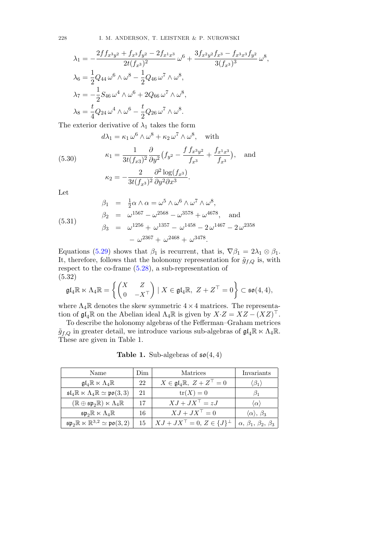$$
\lambda_1 = -\frac{2f f_{x^3y^2} + f_{x^3} f_{y^2} - 2f_{x^1x^3}}{2t(f_{x^3})^2} \omega^6 + \frac{3f_{x^2y^2} f_{x^3} - f_{x^3x^3} f_{y^2}}{3(f_{x^3})^3} \omega^8,
$$
  
\n
$$
\lambda_6 = \frac{1}{2} Q_{44} \omega^6 \wedge \omega^8 - \frac{1}{2} Q_{46} \omega^7 \wedge \omega^8,
$$
  
\n
$$
\lambda_7 = -\frac{1}{2} S_{46} \omega^4 \wedge \omega^6 + 2Q_{66} \omega^7 \wedge \omega^8,
$$
  
\n
$$
\lambda_8 = \frac{t}{4} Q_{24} \omega^4 \wedge \omega^6 - \frac{t}{2} Q_{26} \omega^7 \wedge \omega^8.
$$

The exterior derivative of  $\lambda_1$  takes the form

 $d\lambda_1 = \kappa_1 \,\omega^6 \wedge \omega^8 + \kappa_2 \,\omega^7 \wedge \omega^8$ , with

(5.30) 
$$
\kappa_1 = \frac{1}{3t(f_{x3})^2} \frac{\partial}{\partial y^2} (f_{y^2} - \frac{f f_{x^3 y^2}}{f_{x^3}} + \frac{f_{x^1 x^3}}{f_{x^3}}), \text{ and}
$$

$$
\kappa_2 = -\frac{2}{3t(f_{x^3})^2} \frac{\partial^2 \log(f_{x^3})}{\partial y^2 \partial x^3}.
$$

Let

(5.31) 
$$
\begin{aligned}\n\beta_1 &= \frac{1}{2}\alpha \wedge \alpha = \omega^5 \wedge \omega^6 \wedge \omega^7 \wedge \omega^8, \\
\beta_2 &= \omega^{1567} - \omega^{2568} - \omega^{3578} + \omega^{4678}, \text{ and} \\
\beta_3 &= \omega^{1256} + \omega^{1357} - \omega^{1458} - 2\omega^{1467} - 2\omega^{2358} \\
&\quad - \omega^{2367} + \omega^{2468} + \omega^{3478}.\n\end{aligned}
$$

Equations (5.29) shows that  $\beta_1$  is recurrent, that is,  $\nabla \beta_1 = 2\lambda_1 \otimes \beta_1$ . It, therefore, follows that the holonomy representation for  $\tilde{g}_{f,Q}$  is, with respect to the co-frame (5.28), a sub-representation of (5.32)

$$
\mathfrak{gl}_4\mathbb{R} \ltimes \Lambda_4\mathbb{R} = \left\{ \begin{pmatrix} X & Z \\ 0 & -X^\top \end{pmatrix} \mid X \in \mathfrak{gl}_4\mathbb{R}, \ Z + Z^\top = 0 \right\} \subset \mathfrak{so}(4,4),
$$

where  $\Lambda_4\mathbb{R}$  denotes the skew symmetric  $4\times 4$  matrices. The representation of  $\mathfrak{gl}_4\mathbb{R}$  on the Abelian ideal  $\Lambda_4\mathbb{R}$  is given by  $X \cdot Z = XZ - (XZ)^{\top}$ .

To describe the holonomy algebras of the Fefferman–Graham metrices  $\tilde{g}_{f,Q}$  in greater detail, we introduce various sub-algebras of  $\mathfrak{gl}_4\mathbb{R} \ltimes \Lambda_4\mathbb{R}$ . These are given in Table 1.

**Table 1.** Sub-algebras of  $\mathfrak{so}(4,4)$ 

| Name                                                                            | Dim | Matrices                                            | Invariants                                   |  |
|---------------------------------------------------------------------------------|-----|-----------------------------------------------------|----------------------------------------------|--|
| $\mathfrak{gl}_4\mathbb{R}\ltimes \Lambda_4\mathbb{R}$                          | 22  | $X \in \mathfrak{gl}_4\mathbb{R}, Z + Z^{\top} = 0$ | $\beta_1$                                    |  |
| $\mathfrak{sl}_4\mathbb{R}\ltimes \Lambda_4\mathbb{R}\simeq \mathfrak{po}(3,3)$ | 21  | $tr(X) = 0$                                         | $\beta_1$                                    |  |
| $(\mathbb{R} \oplus \mathfrak{sp}_2\mathbb{R}) \ltimes \Lambda_4\mathbb{R}$     | 17  | $XJ + JX^{\top} = zJ$                               | $\langle \alpha \rangle$                     |  |
| $\mathfrak{sp}_2\mathbb{R}\ltimes \Lambda_4\mathbb{R}$                          | 16  | $XJ + JX^{\top} = 0$                                | $\langle \alpha \rangle, \beta_3$            |  |
| $\mathfrak{sp}_2\mathbb{R} \ltimes \mathbb{R}^{3,2} \simeq \mathfrak{po}(3,2)$  | 15  | $XJ + JX^{\top} = 0, Z \in \{J\}^{\perp}$           | $\alpha$ , $\beta_1$ , $\beta_2$ , $\beta_3$ |  |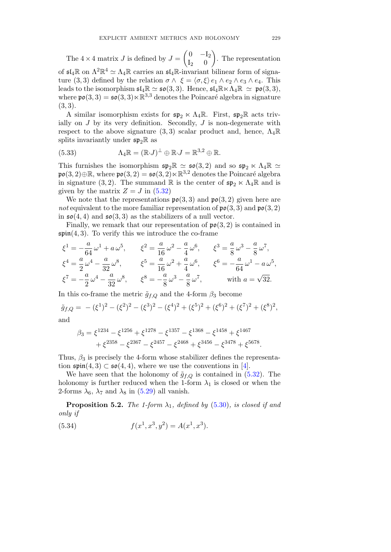The  $4 \times 4$  matrix J is defined by  $J = \begin{pmatrix} 0 & -I_2 \\ I_2 & 0 \end{pmatrix}$  $I_2$  0  $\lambda$ . The representation of  $\mathfrak{sl}_4\mathbb{R}$  on  $\Lambda^2\mathbb{R}^4 \simeq \Lambda_4\mathbb{R}$  carries an  $\mathfrak{sl}_4\mathbb{R}$ -invariant bilinear form of signature (3, 3) defined by the relation  $\sigma \wedge \xi = \langle \sigma, \xi \rangle e_1 \wedge e_2 \wedge e_3 \wedge e_4$ . This leads to the isomorphism  $\mathfrak{sl}_4\mathbb{R} \simeq \mathfrak{so}(3,3)$ . Hence,  $\mathfrak{sl}_4\mathbb{R} \ltimes \Lambda_4\mathbb{R} \simeq \mathfrak{po}(3,3)$ , where  $\mathfrak{po}(3,3) = \mathfrak{so}(3,3) \ltimes \mathbb{R}^{3,3}$  denotes the Poincaré algebra in signature  $(3, 3).$ 

A similar isomorphism exists for  $\mathfrak{sp}_2 \ltimes \Lambda_4 \mathbb{R}$ . First,  $\mathfrak{sp}_2 \mathbb{R}$  acts trivially on  $J$  by its very definition. Secondly,  $J$  is non-degenerate with respect to the above signature  $(3,3)$  scalar product and, hence,  $\Lambda_4\mathbb{R}$ splits invariantly under  $\mathfrak{sp}_2\mathbb{R}$  as

(5.33) 
$$
\Lambda_4 \mathbb{R} = (\mathbb{R} \cdot J)^{\perp} \oplus \mathbb{R} \cdot J = \mathbb{R}^{3,2} \oplus \mathbb{R}.
$$

This furnishes the isomorphism  $\mathfrak{sp}_2\mathbb{R} \simeq \mathfrak{so}(3, 2)$  and so  $\mathfrak{sp}_2 \ltimes \Lambda_4\mathbb{R} \simeq$  $\mathfrak{po}(3,2)\oplus\mathbb{R}$ , where  $\mathfrak{po}(3,2) = \mathfrak{so}(3,2) \ltimes \mathbb{R}^{3,2}$  denotes the Poincaré algebra in signature (3, 2). The summand  $\mathbb R$  is the center of  $\mathfrak{sp}_2 \ltimes \Lambda_4\mathbb R$  and is given by the matrix  $Z = J$  in  $(5.32)$ 

We note that the representations  $\mathfrak{po}(3,3)$  and  $\mathfrak{po}(3,2)$  given here are not equivalent to the more familiar representation of  $\mathfrak{po}(3,3)$  and  $\mathfrak{po}(3,2)$ in  $\mathfrak{so}(4,4)$  and  $\mathfrak{so}(3,3)$  as the stabilizers of a null vector.

Finally, we remark that our representation of  $\mathfrak{po}(3,2)$  is contained in  $\mathfrak{spin}(4,3)$ . To verify this we introduce the co-frame

$$
\xi^{1} = -\frac{a}{64}\omega^{1} + a\omega^{5}, \qquad \xi^{2} = \frac{a}{16}\omega^{2} - \frac{a}{4}\omega^{6}, \qquad \xi^{3} = \frac{a}{8}\omega^{3} - \frac{a}{8}\omega^{7},
$$
  

$$
\xi^{4} = \frac{a}{2}\omega^{4} - \frac{a}{32}\omega^{8}, \qquad \xi^{5} = \frac{a}{16}\omega^{2} + \frac{a}{4}\omega^{6}, \qquad \xi^{6} = -\frac{a}{64}\omega^{1} - a\omega^{5},
$$
  

$$
\xi^{7} = -\frac{a}{2}\omega^{4} - \frac{a}{32}\omega^{8}, \qquad \xi^{8} = -\frac{a}{8}\omega^{3} - \frac{a}{8}\omega^{7}, \qquad \text{with } a = \sqrt{32}.
$$

In this co-frame the metric  $\tilde{g}_{f,Q}$  and the 4-form  $\beta_3$  become

$$
\tilde{g}_{f,Q} = -(\xi^1)^2 - (\xi^2)^2 - (\xi^3)^2 - (\xi^4)^2 + (\xi^5)^2 + (\xi^6)^2 + (\xi^7)^2 + (\xi^8)^2,
$$

and

$$
\beta_3 = \xi^{1234} - \xi^{1256} + \xi^{1278} - \xi^{1357} - \xi^{1368} - \xi^{1458} + \xi^{1467} + \xi^{2358} - \xi^{2367} - \xi^{2457} - \xi^{2468} + \xi^{3456} - \xi^{3478} + \xi^{5678}.
$$

Thus,  $\beta_3$  is precisely the 4-form whose stabilizer defines the representation  $\mathfrak{spin}(4,3) \subset \mathfrak{so}(4,4)$ , where we use the conventions in [4].

We have seen that the holonomy of  $\tilde{g}_{f,Q}$  is contained in (5.32). The holonomy is further reduced when the 1-form  $\lambda_1$  is closed or when the 2-forms  $\lambda_6$ ,  $\lambda_7$  and  $\lambda_8$  in (5.29) all vanish.

**Proposition 5.2.** The 1-form  $\lambda_1$ , defined by (5.30), is closed if and only if

(5.34) 
$$
f(x^1, x^3, y^2) = A(x^1, x^3).
$$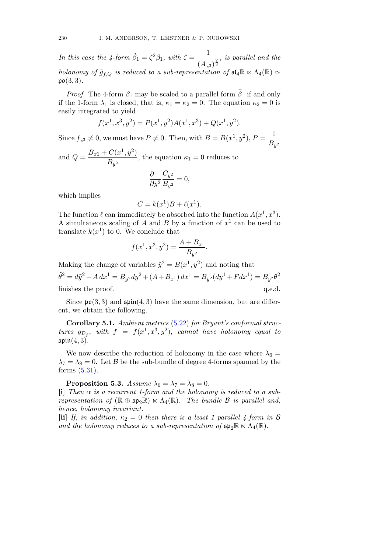In this case the 4-form  $\tilde{\beta}_1 = \zeta^2 \beta_1$ , with  $\zeta = \frac{1}{\zeta}$  $\frac{1}{(A_{x^3})^{\frac{2}{3}}}$ , is parallel and the holonomy of  $\tilde{g}_{f,Q}$  is reduced to a sub-representation of  $\mathfrak{sl}_4\mathbb{R} \ltimes \Lambda_4(\mathbb{R}) \simeq$  $\mathfrak{po}(3,3)$ .

*Proof.* The 4-form  $\beta_1$  may be scaled to a parallel form  $\tilde{\beta}_1$  if and only if the 1-form  $\lambda_1$  is closed, that is,  $\kappa_1 = \kappa_2 = 0$ . The equation  $\kappa_2 = 0$  is easily integrated to yield

$$
f(x1, x3, y2) = P(x1, y2)A(x1, x3) + Q(x1, y2).
$$

Since  $f_{x^3} \neq 0$ , we must have  $P \neq 0$ . Then, with  $B = B(x^1, y^2)$ ,  $P = \frac{1}{B_{y^2}}$ 

and  $Q = \frac{B_{x1} + C(x^1, y^2)}{B}$  $\frac{\partial}{\partial s}(\alpha, s)$ , the equation  $\kappa_1 = 0$  reduces to

$$
\frac{\partial}{\partial y^2} \frac{C_{y^2}}{B_{y^2}} = 0,
$$

which implies

$$
C = k(x^1)B + \ell(x^1).
$$

The function  $\ell$  can immediately be absorbed into the function  $A(x^1, x^3)$ . A simultaneous scaling of A and B by a function of  $x^1$  can be used to translate  $k(x^1)$  to 0. We conclude that

$$
f(x^1, x^3, y^2) = \frac{A + B_{x^1}}{B_{y^2}}.
$$

Making the change of variables  $\tilde{y}^2 = B(x^1, y^2)$  and noting that

 $\tilde{\theta}^2 = d\tilde{y}^2 + A dx^1 = B_{y^2} dy^2 + (A + B_{x^1}) dx^1 = B_{y^2} (dy^1 + F dx^1) = B_{y^2} \theta^2$ finishes the proof.  $q.e.d.$ 

Since  $\mathfrak{po}(3,3)$  and  $\mathfrak{spin}(4,3)$  have the same dimension, but are different, we obtain the following.

Corollary 5.1. Ambient metrics (5.22) for Bryant's conformal structures  $g_{\mathcal{D}_f}$ , with  $f = f(x^1, x^3, y^2)$ , cannot have holonomy equal to  $\mathfrak{spin}(4,3)$ .

We now describe the reduction of holonomy in the case where  $\lambda_6 =$  $\lambda_7 = \lambda_8 = 0$ . Let B be the sub-bundle of degree 4-forms spanned by the forms (5.31).

**Proposition 5.3.** Assume  $\lambda_6 = \lambda_7 = \lambda_8 = 0$ .

[i] Then  $\alpha$  is a recurrent 1-form and the holonomy is reduced to a subrepresentation of  $(\mathbb{R} \oplus \mathfrak{sp}_2\mathbb{R}) \ltimes \Lambda_4(\mathbb{R})$ . The bundle  $\mathcal B$  is parallel and, hence, holonomy invariant.

[ii] If, in addition,  $\kappa_2 = 0$  then there is a least 1 parallel 4-form in B and the holonomy reduces to a sub-representation of  $\mathfrak{sp}_2\mathbb{R} \ltimes \Lambda_4(\mathbb{R})$ .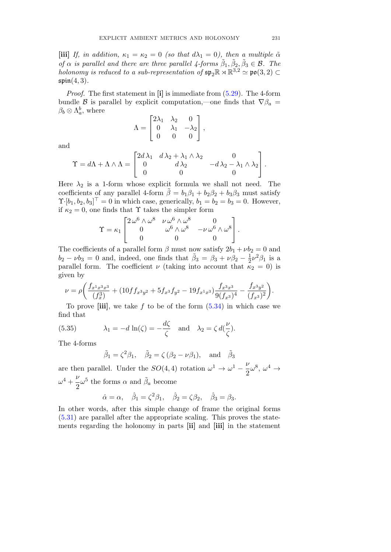[iii] If, in addition,  $\kappa_1 = \kappa_2 = 0$  (so that  $d\lambda_1 = 0$ ), then a multiple  $\tilde{\alpha}$ of  $\alpha$  is parallel and there are three parallel 4-forms  $\tilde{\beta}_1, \tilde{\beta}_2, \tilde{\beta}_3 \in \mathcal{B}$ . The holonomy is reduced to a sub-representation of  $\mathfrak{sp}_2\mathbb{R} \rtimes \mathbb{R}^{3,2} \simeq \mathfrak{po}(3,2) \subset$  $\mathfrak{spin}(4,3)$ .

Proof. The first statement in [i] is immediate from (5.29). The 4-form bundle B is parallel by explicit computation,—one finds that  $\nabla \beta_a =$  $\beta_b \otimes \Lambda_a^b$ , where

$$
\Lambda = \begin{bmatrix} 2\lambda_1 & \lambda_2 & 0 \\ 0 & \lambda_1 & -\lambda_2 \\ 0 & 0 & 0 \end{bmatrix},
$$

and

$$
\Upsilon = d\Lambda + \Lambda \wedge \Lambda = \begin{bmatrix} 2d\lambda_1 & d\lambda_2 + \lambda_1 \wedge \lambda_2 & 0 \\ 0 & d\lambda_2 & -d\lambda_2 - \lambda_1 \wedge \lambda_2 \\ 0 & 0 & 0 \end{bmatrix}.
$$

Here  $\lambda_2$  is a 1-form whose explicit formula we shall not need. The coefficients of any parallel 4-form  $\tilde{\beta} = b_1 \beta_1 + b_2 \beta_2 + b_3 \beta_3$  must satisfy  $\Upsilon$ [ $b_1, b_2, b_3$ ] = 0 in which case, generically,  $b_1 = b_2 = b_3 = 0$ . However, if  $\kappa_2 = 0$ , one finds that  $\Upsilon$  takes the simpler form

$$
\Upsilon = \kappa_1 \begin{bmatrix} 2\,\omega^6 \wedge \omega^8 & \nu\,\omega^6 \wedge \omega^8 & 0 \\ 0 & \omega^6 \wedge \omega^8 & -\nu\,\omega^6 \wedge \omega^8 \\ 0 & 0 & 0 \end{bmatrix}.
$$

The coefficients of a parallel form  $\beta$  must now satisfy  $2b_1 + \nu b_2 = 0$  and  $b_2 - \nu b_3 = 0$  and, indeed, one finds that  $\tilde{\beta}_3 = \beta_3 + \nu \beta_2 - \frac{1}{2} \nu^2 \beta_1$  is a parallel form. The coefficient  $\nu$  (taking into account that  $\kappa_2 = 0$ ) is given by

$$
\nu = \rho \bigg( \frac{f_{x^1x^3x^3}}{(f_x^3)} + (10ff_{x^3y^2} + 5f_{x^3}f_{y^2} - 19f_{x^1x^3}) \frac{f_{x^3x^3}}{9(f_{x^3})^4} - \frac{f_{x^3y^2}}{(f_{x^3})^2} \bigg).
$$

To prove [iii], we take f to be of the form  $(5.34)$  in which case we find that

(5.35) 
$$
\lambda_1 = -d \ln(\zeta) = -\frac{d\zeta}{\zeta} \text{ and } \lambda_2 = \zeta d(\frac{\nu}{\zeta}).
$$

The 4-forms

$$
\tilde{\beta}_1 = \zeta^2 \beta_1, \quad \tilde{\beta}_2 = \zeta (\beta_2 - \nu \beta_1), \text{ and } \tilde{\beta}_3
$$

are then parallel. Under the  $SO(4, 4)$  rotation  $\omega^1 \to \omega^1 - \frac{\nu}{2} \omega^8$ ,  $\omega^4 \to \frac{\nu}{2} \omega^8$  $\omega^4+\frac{\nu}{2}$  $\frac{\nu}{2}\omega^5$  the forms  $\alpha$  and  $\tilde{\beta}_a$  become

$$
\hat{\alpha} = \alpha, \quad \hat{\beta}_1 = \zeta^2 \beta_1, \quad \hat{\beta}_2 = \zeta \beta_2, \quad \hat{\beta}_3 = \beta_3.
$$

In other words, after this simple change of frame the original forms (5.31) are parallel after the appropriate scaling. This proves the statements regarding the holonomy in parts [ii] and [iii] in the statement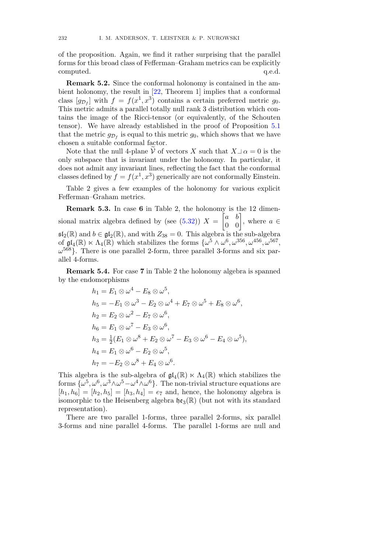of the proposition. Again, we find it rather surprising that the parallel forms for this broad class of Fefferman–Graham metrics can be explicitly computed.  $q.e.d.$ 

Remark 5.2. Since the conformal holonomy is contained in the ambient holonomy, the result in [22, Theorem 1] implies that a conformal class  $[g_{\mathcal{D}_f}]$  with  $f = f(x^1, x^3)$  contains a certain preferred metric  $g_0$ . This metric admits a parallel totally null rank 3 distribution which contains the image of the Ricci-tensor (or equivalently, of the Schouten tensor). We have already established in the proof of Proposition 5.1 that the metric  $g_{\mathcal{D}_f}$  is equal to this metric  $g_0$ , which shows that we have chosen a suitable conformal factor.

Note that the null 4-plane  $\tilde{V}$  of vectors X such that  $X\perp \alpha = 0$  is the only subspace that is invariant under the holonomy. In particular, it does not admit any invariant lines, reflecting the fact that the conformal classes defined by  $f = f(x^1, x^3)$  generically are not conformally Einstein.

Table 2 gives a few examples of the holonomy for various explicit Fefferman–Graham metrics.

Remark 5.3. In case 6 in Table 2, the holonomy is the 12 dimensional matrix algebra defined by (see  $(5.32)$ )  $X =$  $\begin{bmatrix} a & b \\ 0 & 0 \end{bmatrix}$ , where  $a \in$  $\mathfrak{sl}_2(\mathbb{R})$  and  $b \in \mathfrak{gl}_2(\mathbb{R})$ , and with  $Z_{38} = 0$ . This algebra is the sub-algebra of  $\mathfrak{gl}_4(\mathbb{R}) \ltimes \Lambda_4(\mathbb{R})$  which stabilizes the forms  $\{\omega^5 \wedge \omega^6, \omega^{356}, \omega^{456}, \omega^{567},\ldots\}$  $\omega^{568}$ . There is one parallel 2-form, three parallel 3-forms and six parallel 4-forms.

Remark 5.4. For case 7 in Table 2 the holonomy algebra is spanned by the endomorphisms

$$
h_1 = E_1 \otimes \omega^4 - E_8 \otimes \omega^5,
$$
  
\n
$$
h_5 = -E_1 \otimes \omega^3 - E_2 \otimes \omega^4 + E_7 \otimes \omega^5 + E_8 \otimes \omega^6,
$$
  
\n
$$
h_2 = E_2 \otimes \omega^2 - E_7 \otimes \omega^6,
$$
  
\n
$$
h_6 = E_1 \otimes \omega^7 - E_3 \otimes \omega^6,
$$
  
\n
$$
h_3 = \frac{1}{2}(E_1 \otimes \omega^8 + E_2 \otimes \omega^7 - E_3 \otimes \omega^6 - E_4 \otimes \omega^5),
$$
  
\n
$$
h_4 = E_1 \otimes \omega^6 - E_2 \otimes \omega^5,
$$
  
\n
$$
h_7 = -E_2 \otimes \omega^8 + E_4 \otimes \omega^6.
$$

This algebra is the sub-algebra of  $\mathfrak{gl}_4(\mathbb{R}) \ltimes \Lambda_4(\mathbb{R})$  which stabilizes the forms  $\{\omega^5, \omega^6, \omega^3 \wedge \omega^5 - \omega^4 \wedge \omega^6\}$ . The non-trivial structure equations are  $[h_1, h_6] = [h_2, h_5] = [h_3, h_4] = e_7$  and, hence, the holonomy algebra is isomorphic to the Heisenberg algebra  $\mathfrak{he}_3(\mathbb{R})$  (but not with its standard representation).

There are two parallel 1-forms, three parallel 2-forms, six parallel 3-forms and nine parallel 4-forms. The parallel 1-forms are null and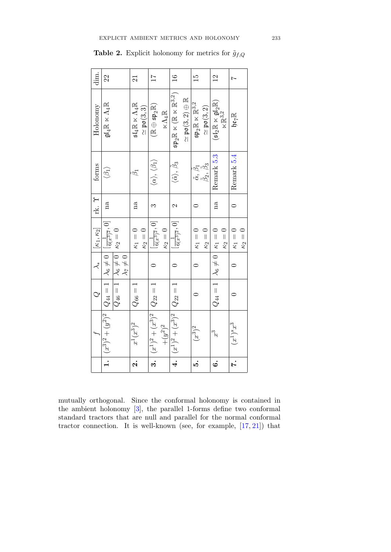| dim.                  | 22                                                                                                                      | $\overline{21}$                                                              | $\overline{17}$                                                                  | $\overline{16}$                                                                                                     | $\frac{15}{1}$                                                                    | $\frac{2}{1}$                                                                             | Ņ                            |
|-----------------------|-------------------------------------------------------------------------------------------------------------------------|------------------------------------------------------------------------------|----------------------------------------------------------------------------------|---------------------------------------------------------------------------------------------------------------------|-----------------------------------------------------------------------------------|-------------------------------------------------------------------------------------------|------------------------------|
| Holonomy              | $\mathfrak{gl}_4\mathbb{R}\ltimes\Lambda_4\mathbb{R}$                                                                   | $\mathfrak{sl}_4\mathbb{R}\ltimes\Lambda_4\mathbb{R}$<br>$\simeq$ po $(3,3)$ | $(\mathbb{R} \oplus \mathfrak{sp}_2\mathbb{R})$<br>$\ltimes \Lambda_4\mathbb{R}$ | $\mathfrak{sp}_2 \mathbb{R} \ltimes (\mathbb{R} \ltimes \mathbb{R}^{3,2})$<br>$\simeq$ po $(3,2) \oplus \mathbb{R}$ | $\mathfrak{sp}_2\mathbb{R}\ltimes\mathbb{R}^{3,2}$<br>$\simeq \mathfrak{po}(3,2)$ | $(\mathfrak{sl}_2\mathbb{R}\ltimes\mathfrak{gl}_2\mathbb{R})$<br>$\times\mathbb{R}^{3,2}$ | $\mathbb{R}^{L_2}$           |
| forms                 | $\langle \beta_1 \rangle$                                                                                               | ã                                                                            | $\langle \alpha \rangle, \, \langle \beta_1 \rangle$                             | $\langle \tilde{\alpha} \rangle, \, \tilde{\beta_3}$                                                                | $\tilde{\alpha}$ , $\beta_1$<br>$\tilde{\beta}_2$ , $\tilde{\beta}_3$             | Remark 5.3                                                                                | Remark 5.4                   |
| rk. T                 | na                                                                                                                      | na                                                                           |                                                                                  | $\mathcal{C}$                                                                                                       |                                                                                   | na                                                                                        | $\Rightarrow$                |
| $[K_1, K_2]$          | $\kappa_2=0$                                                                                                            | $\kappa_2=0$<br>$\kappa_1=0$                                                 | $\lfloor \frac{1}{6(x^3)^2}, 0 \rfloor$<br>$\kappa_2=0$                          | $\left[ \frac{1}{6(x^3)^2}, 0 \right]$                                                                              | $\kappa_1=0$<br>$\kappa_2=0$                                                      | $\kappa_2=0$                                                                              | $\kappa_2=0$<br>$\kappa_1=0$ |
| $\stackrel{*}{\prec}$ | $\lambda_6\neq 0$<br>$\lambda_7\neq 0$                                                                                  |                                                                              |                                                                                  |                                                                                                                     |                                                                                   |                                                                                           |                              |
| $\circ$               | $Q_{46}=1$                                                                                                              | $Q_{66}=1$                                                                   | $Q_{22} = 1$                                                                     |                                                                                                                     |                                                                                   | $Q_{44}=1\mid\lambda_6\neq0\mid\kappa_1=0$                                                |                              |
|                       | $1. \Big  \, (x^3)^2 + (y^2)^2 \, \Big  \, Q_{44} = 1 \, \Big  \, \lambda_6 \neq 0 \, \Big  \, [\tfrac{1}{6(x^3)^2},0]$ | $x^1(x^3)^2$                                                                 | $(x^1)^2 + (x^3)^2$<br>$+(y^2)^2$                                                | $(x^{1})^{2} + (x^{3})^{2}$ $Q_{22} = 1$                                                                            | $(x^3)^{\frac{1}{2}}$                                                             | ್ರೆ                                                                                       | $(x^{1})^{s}x^{3}$           |
|                       |                                                                                                                         | $\dot{\mathbf{a}}$                                                           | $\overline{\mathbf{3}}$ .                                                        | $\overline{\overline{4}}$                                                                                           | ນວ໋                                                                               | $\dot{\circ}$                                                                             | r.                           |

**Table 2.** Explicit holonomy for metrics for  $\tilde{g}_{f,Q}$ 

mutually orthogonal. Since the conformal holonomy is contained in the ambient holonomy [3], the parallel 1-forms define two conformal standard tractors that are null and parallel for the normal conformal tractor connection. It is well-known (see, for example,  $[17, 21]$ ) that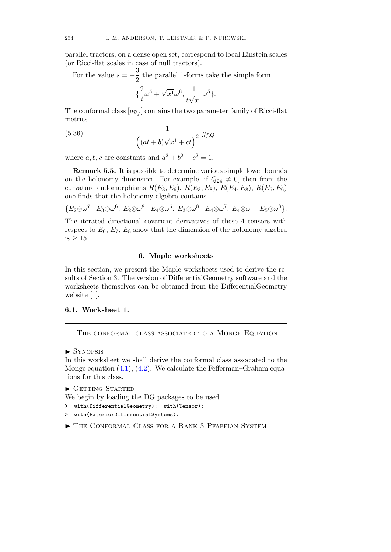parallel tractors, on a dense open set, correspond to local Einstein scales (or Ricci-flat scales in case of null tractors).

For the value  $s = -\frac{3}{2}$  the parallel 1-forms take the simple form { 2  $\frac{2}{t}\omega^5+\sqrt{x^1}\omega^6,\frac{1}{t\sqrt{x^2}}$  $rac{1}{t\sqrt{x^1}}\omega^5$ .

The conformal class  $[g_{\mathcal{D}_f}]$  contains the two parameter family of Ricci-flat metrics

(5.36) 
$$
\frac{1}{\left( (at+b)\sqrt{x^1} + ct \right)^2} \tilde{g}_{f,Q},
$$

where a, b, c are constants and  $a^2 + b^2 + c^2 = 1$ .

Remark 5.5. It is possible to determine various simple lower bounds on the holonomy dimension. For example, if  $Q_{24} \neq 0$ , then from the curvature endomorphisms  $R(E_3, E_6)$ ,  $R(E_3, E_8)$ ,  $R(E_4, E_8)$ ,  $R(E_5, E_6)$ one finds that the holonomy algebra contains

$$
{E_2 \otimes \omega^7 - E_3 \otimes \omega^6, E_2 \otimes \omega^8 - E_4 \otimes \omega^6, E_3 \otimes \omega^8 - E_4 \otimes \omega^7, E_4 \otimes \omega^1 - E_5 \otimes \omega^8}.
$$

The iterated directional covariant derivatives of these 4 tensors with respect to  $E_6$ ,  $E_7$ ,  $E_8$  show that the dimension of the holonomy algebra is  $\geq 15$ .

## 6. Maple worksheets

In this section, we present the Maple worksheets used to derive the results of Section 3. The version of DifferentialGeometry software and the worksheets themselves can be obtained from the DifferentialGeometry website [1].

# 6.1. Worksheet 1.

THE CONFORMAL CLASS ASSOCIATED TO A MONGE EQUATION

### ▶ SYNOPSIS

In this worksheet we shall derive the conformal class associated to the Monge equation  $(4.1)$ ,  $(4.2)$ . We calculate the Fefferman–Graham equations for this class.

```
\blacktriangleright GETTING STARTED
```
We begin by loading the DG packages to be used.

- > with(DifferentialGeometry): with(Tensor):
- > with(ExteriorDifferentialSystems):
- � The Conformal Class for a Rank 3 Pfaffian System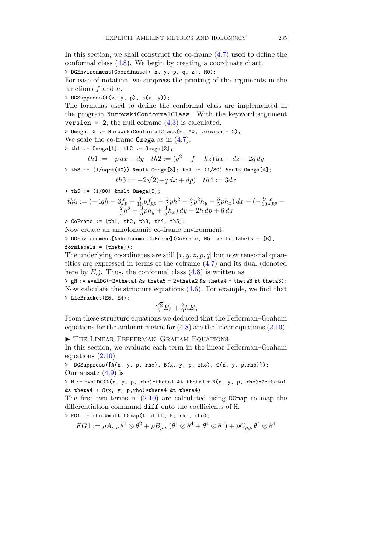In this section, we shall construct the co-frame (4.7) used to define the conformal class (4.8). We begin by creating a coordinate chart.

> DGEnvironment[Coordinate]([x, y, p, q, z], M0):

For ease of notation, we suppress the printing of the arguments in the functions  $f$  and  $h$ .

> DGSuppress( $f(x, y, p)$ ,  $h(x, y)$ );

The formulas used to define the conformal class are implemented in the program NurowskiConformalClass. With the keyword argument version = 2, the null coframe  $(4.3)$  is calculated.

> Omega, G := NurowskiConformalClass(F, M0, version = 2);

We scale the co-frame **Omega** as in  $(4.7)$ .

 $> th1 :=$  Omega[1];  $th2 :=$  Omega[2];

$$
th1 := -p\,dx + dy \quad th2 := (q^2 - f - hz)\,dx + dz - 2q\,dy
$$

 $> th3 := (1/sqrt(40))$  &mult Omega[3]; th $4 := (1/80)$  &mult Omega[4]; √

$$
th3 := -2\sqrt{2(-q\,dx + dp)} \quad th4 := 3dx
$$

 $>$  th5 := (1/80) &mult Omega[5];

$$
th5 := \left(-4qh - 3f_p + \frac{9}{10}pf_{pp} + \frac{2}{5}ph^2 - \frac{3}{5}p^2h_y - \frac{3}{5}ph_x\right)dx + \left(-\frac{9}{10}f_{pp} - \frac{2}{5}h^2 + \frac{3}{5}ph_y + \frac{3}{5}h_x\right)dy - 2h\,dp + 6\,dq
$$

 $>$  CoFrame := [th1, th2, th3, th4, th5]:

Now create an anholonomic co-frame environment.

> DGEnvironment[AnholonomicCoFrame](CoFrame, M5, vectorlabels = [E], formlabels = [theta]):

The underlying coordinates are still  $[x, y, z, p, q]$  but now tensorial quantities are expressed in terms of the coframe (4.7) and its dual (denoted here by  $E_i$ ). Thus, the conformal class  $(4.8)$  is written as

> gN := evalDG(-2\*theta1 &s theta5 - 2\*theta2 &s theta4 + theta3 &t theta3): Now calculate the structure equations  $(4.6)$ . For example, we find that > LieBracket(E5, E4);

$$
\frac{\sqrt{2}}{9}E_3 + \frac{2}{9}hE_5
$$

From these structure equations we deduced that the Fefferman–Graham equations for the ambient metric for  $(4.8)$  are the linear equations  $(2.10)$ .

� The Linear Fefferman–Graham Equations

In this section, we evaluate each term in the linear Fefferman–Graham equations (2.10).

> DGSuppress([A(x, y, p, rho), B(x, y, p, rho), C(x, y, p,rho)]); Our ansatz  $(4.9)$  is

> H := evalDG( $A(x, y, p, rho)*theta1$  &t theta1 + B(x, y, p, rho)\*2\*theta1 &s theta $4 + C(x, y, p, rho) * theta4$  &t theta4)

The first two terms in  $(2.10)$  are calculated using DGmap to map the differentiation command diff onto the coefficients of H.

> FG1 := rho &mult DGmap(1, diff, H, rho, rho);

$$
FG1:=\rho A_{\rho,\rho}\,\theta^1\otimes\theta^2+\rho B_{\rho,\rho}\,(\theta^1\otimes\theta^4+\theta^4\otimes\theta^1)+\rho C_{\rho,\rho}\,\theta^4\otimes\theta^4
$$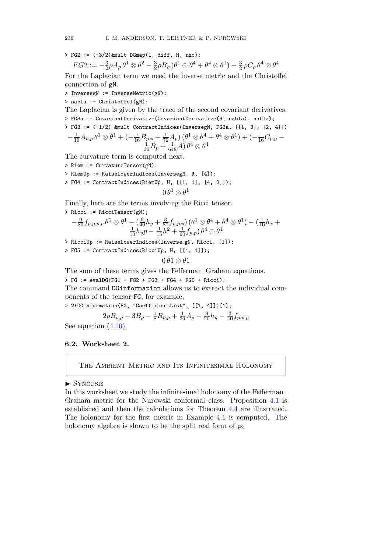$>$  FG2 :=  $(-3/2)$  &mult DGmap(1, diff, H, rho);

$$
FG2:=-\tfrac{3}{2}\rho A_{\rho}\,\theta^1\otimes\theta^2-\tfrac{3}{2}\rho B_{\rho}\,(\theta^1\otimes\theta^4+\theta^4\otimes\theta^1)-\tfrac{3}{2}\,\rho C_{\rho}\,\theta^4\otimes\theta^4
$$

For the Laplacian term we need the inverse metric and the Christoffel connection of gN.

> InversegN := InverseMetric(gN):

> nabla := Christoffel(gN):

The Laplacian is given by the trace of the second covariant derivatives. > FG3a := CovariantDerivative(CovariantDerivative(H, nabla), nabla); > FG3 := (-1/2) &mult ContractIndices(InversegN, FG3a, [[1, 3], [2, 4]])  $-\frac{1}{16}A_{p,p}\,\theta^1\otimes\theta^1+(-\frac{1}{16}B_{p,p}+\frac{1}{72}A_p)\,(\theta^1\otimes\theta^4+\theta^4\otimes\theta^1)+(-\frac{1}{16}C_{p,p}-\frac{1}{16}A_p)$ 

$$
\tfrac{1}{36}B_p + \tfrac{1}{648}A) \, \theta^4 \otimes \theta^4
$$

The curvature term is computed next.

- > Riem := CurvatureTensor(gN):
- > RiemUp := RaiseLowerIndices(InversegN, R, [4]):

> FG4 := ContractIndices(RiemUp, H, [[1, 1], [4, 2]]);

$$
0\,\theta^1\otimes\theta^1
$$

Finally, here are the terms involving the Ricci tensor.

> Ricci := RicciTensor(gN);  
\n
$$
-\frac{9}{80}f_{p,p,p,p} \theta^1 \otimes \theta^1 - \left(\frac{9}{40}h_y + \frac{3}{80}f_{p,p,p}\right) (\theta^1 \otimes \theta^4 + \theta^4 \otimes \theta^1) - \left(\frac{1}{10}h_x + \frac{1}{10}h_yp - \frac{1}{15}h^2 + \frac{1}{60}f_{p,p}\right) \theta^4 \otimes \theta^4
$$

- > RicciUp := RaiseLowerIndices(Inverse gN, Ricci, [1]):
- > FG5 := ContractIndices(RicciUp, H, [[1, 1]]);

$$
0\,\theta\,1\otimes\theta\,1
$$

The sum of these terms gives the Fefferman–Graham equations.

 $> FG$  := evalDG(FG1 + FG2 + FG3 + FG4 + FG5 + Ricci):

The command DGinformation allows us to extract the individual components of the tensor FG, for example,

> 2\*DGinformation(FG, "CoefficientList", [[1, 4]])[1];

$$
2\rho B_{\rho,\rho} - 3B_{\rho} - \frac{1}{8}B_{p,p} + \frac{1}{36}A_p - \frac{9}{20}h_y - \frac{3}{40}f_{p,p,p}
$$

See equation  $(4.10)$ .

## 6.2. Worksheet 2.

THE AMBIENT METRIC AND ITS INFINITESIMAL HOLONOMY

## ▶ SYNOPSIS

In this worksheet we study the infinitesimal holonomy of the Fefferman– Graham metric for the Nurowski conformal class. Proposition 4.1 is established and then the calculations for Theorem 4.4 are illustrated. The holonomy for the first metric in Example 4.1 is computed. The holonomy algebra is shown to be the split real form of  $\mathfrak{g}_2$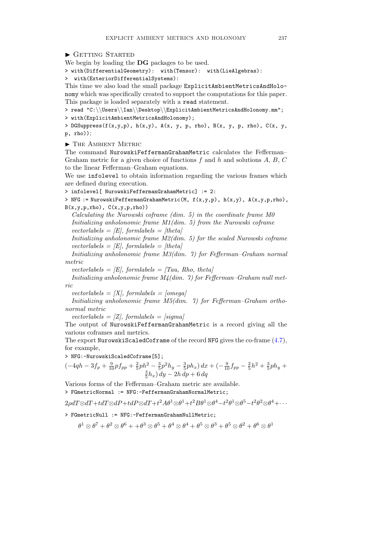```
GETTING STARTED
```
We begin by loading the DG packages to be used.

> with(DifferentialGeometry): with(Tensor): with(LieAlgebras):

> with(ExteriorDifferentialSystems):

This time we also load the small package ExplicitAmbientMetricsAndHolonomy which was specifically created to support the computations for this paper. This package is loaded separately with a read statement.

> read "C:\\Users\\Ian\\Desktop\\ExplicitAmbientMetricsAndHolonomy.mm";

> with(ExplicitAmbientMetricsAndHolonomy);

> DGSuppress(f(x,y,p), h(x,y), A(x, y, p, rho), B(x, y, p, rho), C(x, y, p, rho));

� The Ambient Metric

The command NurowskiFeffermanGrahamMetric calculates the Fefferman– Graham metric for a given choice of functions  $f$  and  $h$  and solutions  $A, B, C$ to the linear Fefferman–Graham equations.

We use infolevel to obtain information regarding the various frames which are defined during execution.

> infolevel[ NurowskiFeffermanGrahamMetric] := 2:

> NFG := NurowskiFeffermanGrahamMetric(M, f(x,y,p), h(x,y), A(x,y,p,rho),  $B(x,y,p,rho)$ ,  $C(x,y,p,rho)$ )

Calculating the Nurowski coframe (dim. 5) in the coordinate frame M0 Initializing anholonomic frame M1(dim. 5) from the Nurowski coframe vectorlabels =  $|E|$ , formlabels =  $|theta|$ 

Initializing anholonomic frame M2(dim. 5) for the scaled Nurowski coframe vectorlabels =  $|E|$ , formlabels =  $|theta|$ 

Initializing anholonomic frame M3(dim. 7) for Fefferman–Graham normal metric

vectorlabels =  $|E|$ , formlabels =  $|Tau, Rho, theta|$ 

Initializing anholonomic frame M4(dim. 7) for Fefferman–Graham null metric

vectorlabels =  $[X]$ , formlabels = [omega]

Initializing anholonomic frame M5(dim. 7) for Fefferman–Graham orthonormal metric

vectorlabels =  $[Z]$ , formlabels =  $[sigma]$ 

The output of NurowskiFeffermanGrahamMetric is a record giving all the various coframes and metrics.

The export NurowskiScaledCoframe of the record NFG gives the co-frame (4.7), for example,

> NFG:-NurowskiScaledCoframe[5];

 $\left(-4qh - 3f_p + \frac{9}{10}pf_{pp} + \frac{2}{5}ph^2 - \frac{3}{5}p^2h_y - \frac{3}{5}ph_x\right)dx + \left(-\frac{9}{10}f_{pp} - \frac{2}{5}h^2 + \frac{3}{5}ph_y + \frac{3}{5}h^2\right)dy - 2h\,dp + 6\,dq$ 

Various forms of the Fefferman–Graham metric are available. > FGmetricNormal := NFG:-FeffermanGrahamNormalMetric;

 $2\rho dT \otimes dT + tdT \otimes dP + tdP \otimes dT + t^2A\theta^1 \otimes \theta^1 + t^2B\theta^1 \otimes \theta^4 - t^2\theta^1 \otimes \theta^5 - t^2\theta^2 \otimes \theta^4 + \cdots$ 

> FGmetricNull := NFG:-FeffermanGrahamNullMetric;

 $\theta^1 \otimes \theta^7 + \theta^2 \otimes \theta^6 + \theta^3 \otimes \theta^5 + \theta^4 \otimes \theta^4 + \theta^5 \otimes \theta^3 + \theta^5 \otimes \theta^2 + \theta^6 \otimes \theta^1$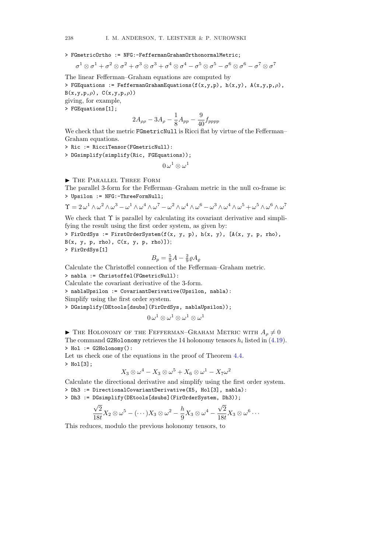> FGmetricOrtho := NFG:-FeffermanGrahamOrthonormalMetric;

$$
\sigma^1 \otimes \sigma^1 + \sigma^2 \otimes \sigma^2 + \sigma^3 \otimes \sigma^3 + \sigma^4 \otimes \sigma^4 - \sigma^5 \otimes \sigma^5 - \sigma^6 \otimes \sigma^6 - \sigma^7 \otimes \sigma^7
$$

The linear Fefferman–Graham equations are computed by

> FGEquations := FeffermanGrahamEquations(f(x,y,p), h(x,y), A(x,y,p, $\rho$ ),  $B(x,y,p,\rho)$ ,  $C(x,y,p,\rho)$ 

giving, for example,

> FGEquations[1];

$$
2A_{\rho\rho} - 3A_{\rho} - \frac{1}{8}A_{pp} - \frac{9}{40}f_{pppp}
$$

We check that the metric FGmetricNull is Ricci flat by virtue of the Fefferman– Graham equations.

> Ric := RicciTensor(FGmetricNull):

> DGsimplify(simplify(Ric, FGEquations));

$$
0 \,\omega^1 \otimes \omega^1
$$

� The Parallel Three Form

The parallel 3-form for the Fefferman–Graham metric in the null co-frame is: > Upsilon := NFG:-ThreeFormNull;

 $\Upsilon = 2 \omega^1 \wedge \omega^2 \wedge \omega^3 - \omega^1 \wedge \omega^4 \wedge \omega^7 - \omega^2 \wedge \omega^4 \wedge \omega^6 - \omega^3 \wedge \omega^4 \wedge \omega^5 + \omega^5 \wedge \omega^6 \wedge \omega^7$ 

We check that  $\Upsilon$  is parallel by calculating its covariant derivative and simplifying the result using the first order system, as given by:

> FirOrdSys := FirstOrderSystem( $f(x, y, p)$ ,  $h(x, y)$ ,  $[A(x, y, p, rho),$  $B(x, y, p, rho), C(x, y, p, rho)]$ ; > FirOrdSys[1]

$$
B_p = \frac{5}{9}A - \frac{2}{9}\varrho A_\varrho
$$

Calculate the Christoffel connection of the Fefferman–Graham metric.

> nabla := Christoffel(FGmetricNull):

Calculate the covariant derivative of the 3-form.

> nablaUpsilon := CovariantDerivative(Upsilon, nabla):

Simplify using the first order system.

> DGsimplify(DEtools[dsubs](FirOrdSys, nablaUpsilon));

$$
0\,\omega^1\otimes\omega^1\otimes\omega^1\otimes\omega^1
$$

 $\blacktriangleright$  The HOLONOMY OF THE FEFFERMAN–GRAHAM METRIC WITH  $A_{\rho} \neq 0$ The command G2Holonomy retrieves the 14 holonomy tensors  $h_i$  listed in (4.19). > Hol := G2Holonomy():

Let us check one of the equations in the proof of Theorem 4.4. > Hol[3];

$$
X_3 \otimes \omega^4 - X_3 \otimes \omega^5 + X_6 \otimes \omega^1 - X_7 \omega^2
$$

Calculate the directional derivative and simplify using the first order system. > Dh3 := DirectionalCovariantDerivative(X5, Hol[3], nabla):

> Dh3 := DGsimplify(DEtools[dsubs](FirOrderSystem, Dh3));

$$
\frac{\sqrt{2}}{18t}X_2\otimes \omega^5 - (\cdots)X_3\otimes \omega^2 - \frac{h}{9}X_3\otimes \omega^4 - \frac{\sqrt{2}}{18t}X_3\otimes \omega^6 \cdots
$$

This reduces, modulo the previous holonomy tensors, to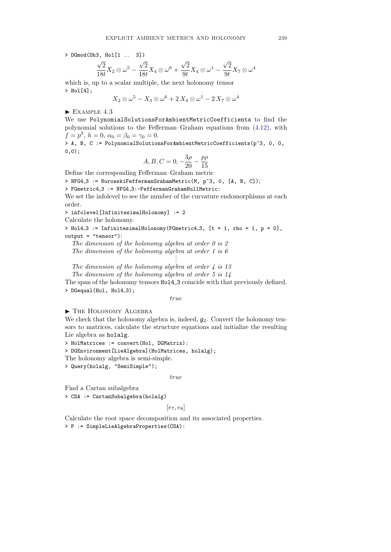> DGmod(Dh3, Hol[1 .. 3])

$$
\frac{\sqrt{2}}{18t}X_2 \otimes \omega^5 - \frac{\sqrt{2}}{18t}X_4 \otimes \omega^6 + \frac{\sqrt{2}}{9t}X_4 \otimes \omega^1 - \frac{\sqrt{2}}{9t}X_7 \otimes \omega^4
$$

which is, up to a scalar multiple, the next holonomy tensor > Hol[4];

$$
X_2 \otimes \omega^5 - X_3 \otimes \omega^6 + 2 X_4 \otimes \omega^1 - 2 X_7 \otimes \omega^4
$$

 $\blacktriangleright$  EXAMPLE 4.3

We use PolynomialSolutionsForAmbientMetricCoefficients to find the polynomial solutions to the Fefferman–Graham equations from (4.12), with  $f = p^3$ ,  $h = 0$ ,  $\alpha_0 = \beta_0 = \gamma_0 = 0$ .

> A, B, C := PolynomialSolutionsForAmbientMetricCoefficients(p^3, 0, 0, 0,0);

$$
A, B, C = 0, -\frac{3\rho}{20} - \frac{p\rho}{15}
$$

Define the corresponding Fefferman–Graham metric

> NFG4\_3 := NurowskiFeffermanGrahamMetric(M, p^3, 0, [A, B, C]);

> FGmetric4\_3 := NFG4\_3:-FeffermanGrahamNullMetric:

We set the infolevel to see the number of the curvature endomorphisms at each order.

> infolevel[InfinitesimalHolonomy] := 2

Calculate the holonomy.

> Hol4\_3 := InfinitesimalHolonomy(FGmetric4\_3,  $[t = 1, rho = 1, p = 0]$ , output = "tensor"):

The dimension of the holonomy algebra at order  $\theta$  is  $\theta$ The dimension of the holonomy algebra at order  $1$  is  $6$ 

. .

The dimension of the holonomy algebra at order  $\frac{1}{4}$  is 13

The dimension of the holonomy algebra at order 5 is 14

The span of the holonomy tensors Hol4 3 coincide with that previously defined. > DGequal(Hol, Hol4\_3);

true

### $\blacktriangleright$  The Holonomy Algebra

We check that the holonomy algebra is, indeed,  $g_2$ . Convert the holonomy tensors to matrices, calculate the structure equations and initialize the resulting Lie algebra as holalg.

> HolMatrices := convert(Hol, DGMatrix):

> DGEnvironment[LieAlgebra](HolMatrices, holalg);

The holonomy algebra is semi-simple.

> Query(holalg, "SemiSimple");

#### true

Find a Cartan subalgebra

> CSA := CartanSubalgebra(holalg)

#### $[e_7, e_8]$

Calculate the root space decomposition and its associated properties. > P := SimpleLieAlgebraProperties(CSA):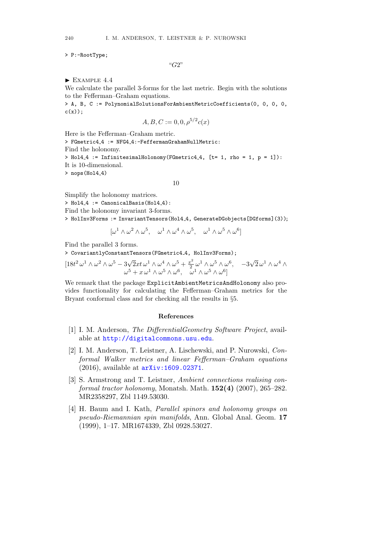> P:-RootType;

"G2"

 $\blacktriangleright$  EXAMPLE 4.4

We calculate the parallel 3-forms for the last metric. Begin with the solutions to the Fefferman–Graham equations.

> A, B, C := PolynomialSolutionsForAmbientMetricCoefficients(0, 0, 0, 0,  $c(x)$  ;

$$
A, B, C := 0, 0, \rho^{5/2} c(x)
$$

Here is the Fefferman–Graham metric.

> FGmetric4\_4 := NFG4\_4:-FeffermanGrahamNullMetric: Find the holonomy. > Hol4\_4 := InfinitesimalHolonomy(FGmetric4\_4, [t= 1, rho = 1, p = 1]): It is 10-dimensional.

 $>$  nops (Hol4 $-4$ )

10

Simplify the holonomy matrices.

 $>$  Hol4\_4 := CanonicalBasis(Hol4\_4):

Find the holonomy invariant 3-forms.

> HolInv3Forms := InvariantTensors(Hol4 4, GenerateDGobjects[DGforms](3));

$$
[\omega^1 \wedge \omega^2 \wedge \omega^5, \quad \omega^1 \wedge \omega^4 \wedge \omega^5, \quad \omega^1 \wedge \omega^5 \wedge \omega^6]
$$

Find the parallel 3 forms.

> CovariantlyConstantTensors(FGmetric4 4, HolInv3Forms);

$$
[18t^2\,\omega^1\wedge\omega^2\wedge\omega^5 - 3\sqrt{2}xt\,\omega^1\wedge\omega^4\wedge\omega^5 + \frac{x^2}{2}\,\omega^1\wedge\omega^5\wedge\omega^6, \quad -3\sqrt{2}\,\omega^1\wedge\omega^4\wedge\omega^5 + x\,\omega^1\wedge\omega^5\wedge\omega^6, \quad \omega^1\wedge\omega^5\wedge\omega^6]
$$

We remark that the package ExplicitAmbientMetricsAndHolonomy also provides functionality for calculating the Fefferman–Graham metrics for the Bryant conformal class and for checking all the results in §5.

#### References

- [1] I. M. Anderson, The DifferentialGeometry Software Project, available at http://digitalcommons.usu.edu.
- [2] I. M. Anderson, T. Leistner, A. Lischewski, and P. Nurowski, Conformal Walker metrics and linear Fefferman–Graham equations (2016), available at arXiv:1609.02371.
- [3] S. Armstrong and T. Leistner, Ambient connections realising conformal tractor holonomy, Monatsh. Math. 152(4) (2007), 265–282. MR2358297, Zbl 1149.53030.
- [4] H. Baum and I. Kath, Parallel spinors and holonomy groups on pseudo-Riemannian spin manifolds, Ann. Global Anal. Geom. 17 (1999), 1–17. MR1674339, Zbl 0928.53027.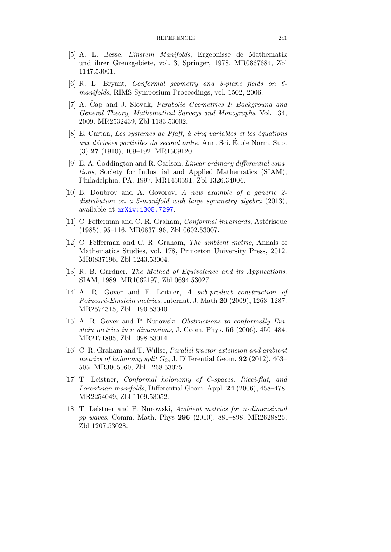- [5] A. L. Besse, Einstein Manifolds, Ergebnisse de Mathematik und ihrer Grenzgebiete, vol. 3, Springer, 1978. MR0867684, Zbl 1147.53001.
- [6] R. L. Bryant, Conformal geometry and 3-plane fields on 6 manifolds, RIMS Symposium Proceedings, vol. 1502, 2006.
- [7] A. Čap and J. Slovak, *Parabolic Geometries I: Background and* General Theory, Mathematical Surveys and Monographs, Vol. 134, 2009. MR2532439, Zbl 1183.53002.
- [8] E. Cartan, Les systèmes de Pfaff, à cinq variables et les équations aux dérivées partielles du second ordre, Ann. Sci. École Norm. Sup. (3) 27 (1910), 109–192. MR1509120.
- [9] E. A. Coddington and R. Carlson, *Linear ordinary differential equa*tions, Society for Industrial and Applied Mathematics (SIAM), Philadelphia, PA, 1997. MR1450591, Zbl 1326.34004.
- [10] B. Doubrov and A. Govorov, A new example of a generic 2 distribution on a 5-manifold with large symmetry algebra  $(2013)$ , available at arXiv:1305.7297.
- [11] C. Fefferman and C. R. Graham, *Conformal invariants*, Astérisque (1985), 95–116. MR0837196, Zbl 0602.53007.
- [12] C. Fefferman and C. R. Graham, The ambient metric, Annals of Mathematics Studies, vol. 178, Princeton University Press, 2012. MR0837196, Zbl 1243.53004.
- [13] R. B. Gardner, The Method of Equivalence and its Applications, SIAM, 1989. MR1062197, Zbl 0694.53027.
- [14] A. R. Gover and F. Leitner, A sub-product construction of  $Poincaré-Einstein$  metrics, Internat. J. Math  $20$  (2009), 1263–1287. MR2574315, Zbl 1190.53040.
- [15] A. R. Gover and P. Nurowski, Obstructions to conformally Einstein metrics in n dimensions, J. Geom. Phys. 56 (2006), 450–484. MR2171895, Zbl 1098.53014.
- [16] C. R. Graham and T. Willse, *Parallel tractor extension and ambient* metrics of holonomy split  $G_2$ , J. Differential Geom. **92** (2012), 463– 505. MR3005060, Zbl 1268.53075.
- [17] T. Leistner, Conformal holonomy of C-spaces, Ricci-flat, and Lorentzian manifolds, Differential Geom. Appl. 24 (2006), 458–478. MR2254049, Zbl 1109.53052.
- [18] T. Leistner and P. Nurowski, Ambient metrics for n-dimensional pp-waves, Comm. Math. Phys 296 (2010), 881–898. MR2628825, Zbl 1207.53028.